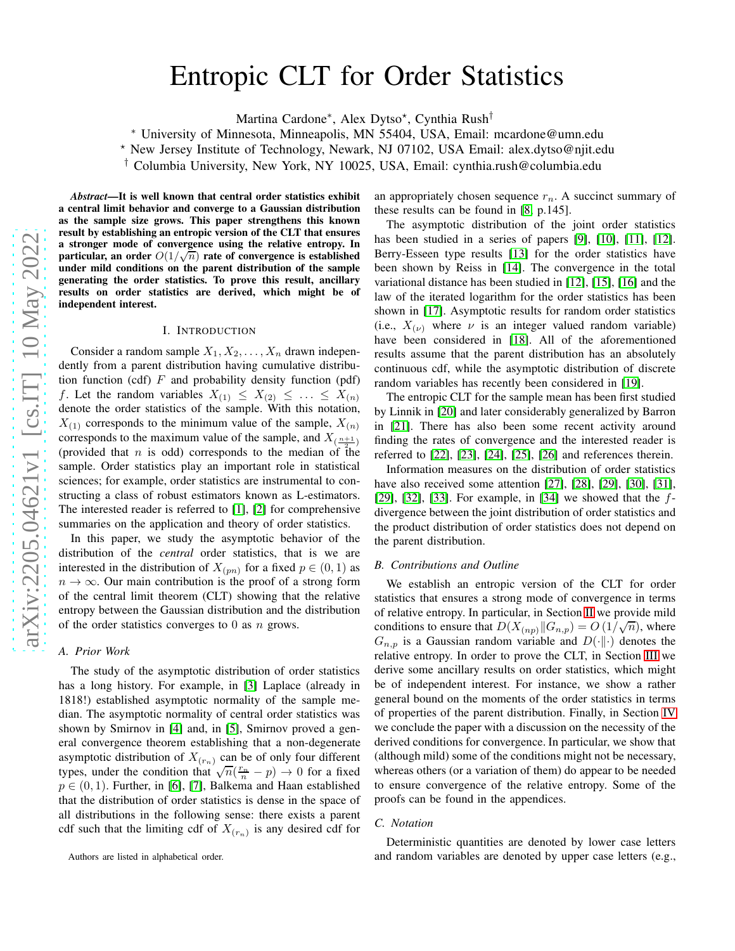# Entropic CLT for Order Statistics

Martina Cardone<sup>∗</sup>, Alex Dytso<sup>\*</sup>, Cynthia Rush<sup>†</sup>

<sup>∗</sup> University of Minnesota, Minneapolis, MN 55404, USA, Email: mcardone@umn.edu

<sup>⋆</sup> New Jersey Institute of Technology, Newark, NJ 07102, USA Email: alex.dytso@njit.edu

† Columbia University, New York, NY 10025, USA, Email: cynthia.rush@columbia.edu

*Abstract*—It is well known that central order statistics exhibit a central limit behavior and converge to a Gaussian distribution as the sample size grows. This paper strengthens this known result by establishing an entropic version of the CLT that ensures a stronger mode of convergence using the relative entropy. In particular, an order  $O(1/\sqrt{n})$  rate of convergence is established under mild conditions on the parent distribution of the sample generating the order statistics. To prove this result, ancillary results on order statistics are derived, which might be of independent interest.

#### I. INTRODUCTION

Consider a random sample  $X_1, X_2, \ldots, X_n$  drawn independently from a parent distribution having cumulative distribution function (cdf)  $F$  and probability density function (pdf) f. Let the random variables  $X_{(1)} \leq X_{(2)} \leq \ldots \leq X_{(n)}$ denote the order statistics of the sample. With this notation,  $X_{(1)}$  corresponds to the minimum value of the sample,  $X_{(n)}$ corresponds to the maximum value of the sample, and  $X_{\left(\frac{n+1}{2}\right)}$ (provided that *n* is odd) corresponds to the median of the sample. Order statistics play an important role in statistical sciences; for example, order statistics are instrumental to constructing a class of robust estimators known as L-estimators. The interested reader is referred to [\[1\]](#page-10-0), [\[2\]](#page-10-1) for comprehensive summaries on the application and theory of order statistics.

In this paper, we study the asymptotic behavior of the distribution of the *central* order statistics, that is we are interested in the distribution of  $X_{(pn)}$  for a fixed  $p \in (0,1)$  as  $n \to \infty$ . Our main contribution is the proof of a strong form of the central limit theorem (CLT) showing that the relative entropy between the Gaussian distribution and the distribution of the order statistics converges to 0 as  $n$  grows.

#### *A. Prior Work*

The study of the asymptotic distribution of order statistics has a long history. For example, in [\[3\]](#page-10-2) Laplace (already in 1818!) established asymptotic normality of the sample median. The asymptotic normality of central order statistics was shown by Smirnov in [\[4\]](#page-10-3) and, in [\[5\]](#page-10-4), Smirnov proved a general convergence theorem establishing that a non-degenerate asymptotic distribution of  $X_{(r_n)}$  can be of only four different types, under the condition that  $\sqrt{n}(\frac{r_n}{n} - p) \to 0$  for a fixed  $p \in (0, 1)$ . Further, in [\[6\]](#page-10-5), [\[7\]](#page-10-6), Balkema and Haan established that the distribution of order statistics is dense in the space of all distributions in the following sense: there exists a parent cdf such that the limiting cdf of  $X_{(r_n)}$  is any desired cdf for

Authors are listed in alphabetical order.

an appropriately chosen sequence  $r_n$ . A succinct summary of these results can be found in [\[8,](#page-10-7) p.145].

The asymptotic distribution of the joint order statistics has been studied in a series of papers [\[9\]](#page-10-8), [\[10\]](#page-10-9), [\[11\]](#page-10-10), [\[12\]](#page-10-11). Berry-Esseen type results [\[13\]](#page-10-12) for the order statistics have been shown by Reiss in [\[14\]](#page-10-13). The convergence in the total variational distance has been studied in [\[12\]](#page-10-11), [\[15\]](#page-10-14), [\[16\]](#page-10-15) and the law of the iterated logarithm for the order statistics has been shown in [\[17\]](#page-10-16). Asymptotic results for random order statistics (i.e.,  $X_{(\nu)}$  where  $\nu$  is an integer valued random variable) have been considered in [\[18\]](#page-10-17). All of the aforementioned results assume that the parent distribution has an absolutely continuous cdf, while the asymptotic distribution of discrete random variables has recently been considered in [\[19\]](#page-10-18).

The entropic CLT for the sample mean has been first studied by Linnik in [\[20\]](#page-10-19) and later considerably generalized by Barron in [\[21\]](#page-10-20). There has also been some recent activity around finding the rates of convergence and the interested reader is referred to [\[22\]](#page-10-21), [\[23\]](#page-10-22), [\[24\]](#page-10-23), [\[25\]](#page-10-24), [\[26\]](#page-10-25) and references therein.

Information measures on the distribution of order statistics have also received some attention [\[27\]](#page-10-26), [\[28\]](#page-10-27), [\[29\]](#page-10-28), [\[30\]](#page-10-29), [\[31\]](#page-10-30), [\[29\]](#page-10-28), [\[32\]](#page-10-31), [\[33\]](#page-10-32). For example, in [\[34\]](#page-10-33) we showed that the  $f$ divergence between the joint distribution of order statistics and the product distribution of order statistics does not depend on the parent distribution.

#### *B. Contributions and Outline*

We establish an entropic version of the CLT for order statistics that ensures a strong mode of convergence in terms of relative entropy. In particular, in Section [II](#page-1-0) we provide mild conditions to ensure that  $D(X_{(np)}||G_{n,p}) = O(1/\sqrt{n})$ , where  $G_{n,p}$  is a Gaussian random variable and  $D(\cdot\|\cdot)$  denotes the relative entropy. In order to prove the CLT, in Section [III](#page-2-0) we derive some ancillary results on order statistics, which might be of independent interest. For instance, we show a rather general bound on the moments of the order statistics in terms of properties of the parent distribution. Finally, in Section [IV](#page-3-0) we conclude the paper with a discussion on the necessity of the derived conditions for convergence. In particular, we show that (although mild) some of the conditions might not be necessary, whereas others (or a variation of them) do appear to be needed to ensure convergence of the relative entropy. Some of the proofs can be found in the appendices.

#### *C. Notation*

Deterministic quantities are denoted by lower case letters and random variables are denoted by upper case letters (e.g.,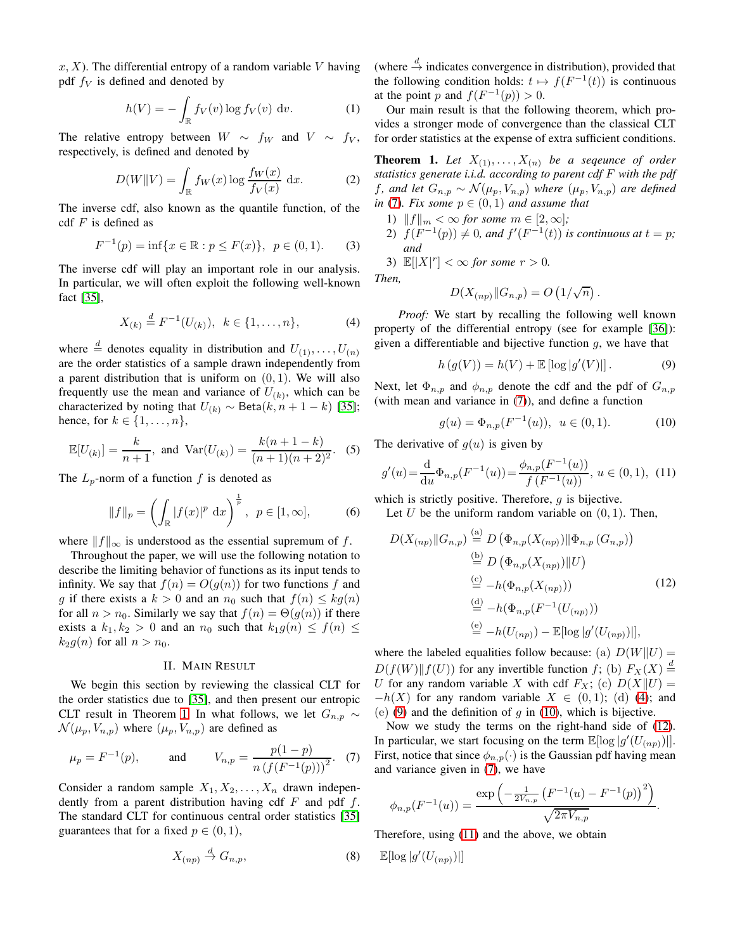$x, X$ ). The differential entropy of a random variable V having pdf  $f_V$  is defined and denoted by

<span id="page-1-9"></span>
$$
h(V) = -\int_{\mathbb{R}} f_V(v) \log f_V(v) dv.
$$
 (1)

The relative entropy between  $W \sim f_W$  and  $V \sim f_V$ , respectively, is defined and denoted by

$$
D(W||V) = \int_{\mathbb{R}} f_W(x) \log \frac{f_W(x)}{f_V(x)} dx.
$$
 (2)

The inverse cdf, also known as the quantile function, of the cdf  $F$  is defined as

$$
F^{-1}(p) = \inf\{x \in \mathbb{R} : p \le F(x)\}, \ \ p \in (0, 1). \tag{3}
$$

The inverse cdf will play an important role in our analysis. In particular, we will often exploit the following well-known fact [\[35\]](#page-10-34),

<span id="page-1-3"></span>
$$
X_{(k)} \stackrel{d}{=} F^{-1}(U_{(k)}), \ \ k \in \{1, \dots, n\},\tag{4}
$$

where  $\stackrel{d}{=}$  denotes equality in distribution and  $U_{(1)}, \ldots, U_{(n)}$ are the order statistics of a sample drawn independently from a parent distribution that is uniform on  $(0, 1)$ . We will also frequently use the mean and variance of  $U_{(k)}$ , which can be characterized by noting that  $U_{(k)} \sim \text{Beta}(k, n + 1 - k)$  [\[35\]](#page-10-34); hence, for  $k \in \{1, \ldots, n\}$ ,

<span id="page-1-8"></span>
$$
\mathbb{E}[U_{(k)}] = \frac{k}{n+1}, \text{ and } \text{Var}(U_{(k)}) = \frac{k(n+1-k)}{(n+1)(n+2)^2}.
$$
 (5)

The  $L_p$ -norm of a function f is denoted as

$$
||f||_p = \left(\int_{\mathbb{R}} |f(x)|^p \, \mathrm{d}x\right)^{\frac{1}{p}}, \ p \in [1, \infty], \tag{6}
$$

where  $||f||_{\infty}$  is understood as the essential supremum of f.

Throughout the paper, we will use the following notation to describe the limiting behavior of functions as its input tends to infinity. We say that  $f(n) = O(g(n))$  for two functions f and g if there exists a  $k > 0$  and an  $n_0$  such that  $f(n) \leq k g(n)$ for all  $n > n_0$ . Similarly we say that  $f(n) = \Theta(g(n))$  if there exists a  $k_1, k_2 > 0$  and an  $n_0$  such that  $k_1 g(n) \le f(n) \le$  $k_2g(n)$  for all  $n > n_0$ .

#### II. MAIN RESULT

<span id="page-1-0"></span>We begin this section by reviewing the classical CLT for the order statistics due to [\[35\]](#page-10-34), and then present our entropic CLT result in Theorem [1.](#page-1-1) In what follows, we let  $G_{n,p} \sim$  $\mathcal{N}(\mu_p, V_{n,p})$  where  $(\mu_p, V_{n,p})$  are defined as

<span id="page-1-2"></span>
$$
\mu_p = F^{-1}(p)
$$
, and  $V_{n,p} = \frac{p(1-p)}{n (f(F^{-1}(p)))^2}$ . (7)

Consider a random sample  $X_1, X_2, \ldots, X_n$  drawn independently from a parent distribution having cdf  $F$  and pdf  $f$ . The standard CLT for continuous central order statistics [\[35\]](#page-10-34) guarantees that for a fixed  $p \in (0, 1)$ ,

$$
X_{(np)} \stackrel{d}{\to} G_{n,p},\tag{8}
$$

(where  $\stackrel{d}{\rightarrow}$  indicates convergence in distribution), provided that the following condition holds:  $t \mapsto f(F^{-1}(t))$  is continuous at the point p and  $f(F^{-1}(p)) > 0$ .

Our main result is that the following theorem, which provides a stronger mode of convergence than the classical CLT for order statistics at the expense of extra sufficient conditions.

<span id="page-1-1"></span>**Theorem 1.** Let  $X_{(1)}, \ldots, X_{(n)}$  be a sequence of order *statistics generate i.i.d. according to parent cdf* F *with the pdf f*, and let  $G_{n,p}$  ∼  $\mathcal{N}(\mu_p, V_{n,p})$  where  $(\mu_p, V_{n,p})$  are defined *in* [\(7\)](#page-1-2)*. Fix some*  $p \in (0,1)$  *and assume that* 

- 1)  $||f||_m < \infty$  *for some*  $m \in [2, \infty]$ *;*
- 2)  $f(F^{-1}(p)) \neq 0$ , and  $f'(F^{-1}(t))$  is continuous at  $t = p$ ; *and*

3)  $\mathbb{E}[|X|^r] < \infty$  for some  $r > 0$ .

*Then,*

$$
D(X_{(np)}||G_{n,p}) = O\left(1/\sqrt{n}\right).
$$

*Proof:* We start by recalling the following well known property of the differential entropy (see for example [\[36\]](#page-10-35)): given a differentiable and bijective function  $g$ , we have that

<span id="page-1-4"></span>
$$
h(g(V)) = h(V) + \mathbb{E} [\log |g'(V)|]. \tag{9}
$$

Next, let  $\Phi_{n,p}$  and  $\phi_{n,p}$  denote the cdf and the pdf of  $G_{n,p}$ (with mean and variance in [\(7\)](#page-1-2)), and define a function

<span id="page-1-5"></span>
$$
g(u) = \Phi_{n,p}(F^{-1}(u)), \ u \in (0,1).
$$
 (10)

The derivative of  $g(u)$  is given by

<span id="page-1-7"></span>
$$
g'(u) = \frac{\mathrm{d}}{\mathrm{d}u} \Phi_{n,p}(F^{-1}(u)) = \frac{\phi_{n,p}(F^{-1}(u))}{f(F^{-1}(u))}, u \in (0,1), \tag{11}
$$

which is strictly positive. Therefore,  $g$  is bijective. Let U be the uniform random variable on  $(0, 1)$ . Then,

<span id="page-1-6"></span>
$$
D(X_{(np)}||G_{n,p}) \stackrel{\text{(a)}}{=} D(\Phi_{n,p}(X_{(np)})||\Phi_{n,p}(G_{n,p}))
$$
  
\n
$$
\stackrel{\text{(b)}}{=} D(\Phi_{n,p}(X_{(np)})||U)
$$
  
\n
$$
\stackrel{\text{(c)}}{=} -h(\Phi_{n,p}(X_{(np)}))
$$
  
\n
$$
\stackrel{\text{(d)}}{=} -h(\Phi_{n,p}(F^{-1}(U_{(np)})))
$$
  
\n
$$
\stackrel{\text{(e)}}{=} -h(U_{(np)}) - \mathbb{E}[\log |g'(U_{(np)})|],
$$

where the labeled equalities follow because: (a)  $D(W||U) =$  $D(f(W)|| f(U))$  for any invertible function  $f$ ; (b)  $F_X(X) \stackrel{d}{=}$ U for any random variable X with cdf  $F_X$ ; (c)  $D(X||U) =$  $-h(X)$  for any random variable  $X \in (0,1)$ ; (d) [\(4\)](#page-1-3); and (e) [\(9\)](#page-1-4) and the definition of  $q$  in [\(10\)](#page-1-5), which is bijective.

Now we study the terms on the right-hand side of [\(12\)](#page-1-6). In particular, we start focusing on the term  $\mathbb{E}[\log |g'(U_{(np)})|].$ First, notice that since  $\phi_{n,p}(\cdot)$  is the Gaussian pdf having mean and variance given in [\(7\)](#page-1-2), we have

$$
\phi_{n,p}(F^{-1}(u)) = \frac{\exp\left(-\frac{1}{2V_{n,p}}\left(F^{-1}(u) - F^{-1}(p)\right)^2\right)}{\sqrt{2\pi V_{n,p}}}.
$$

Therefore, using [\(11\)](#page-1-7) and the above, we obtain

 $\mathbb{E}[\log|g'(U_{(np)})|]$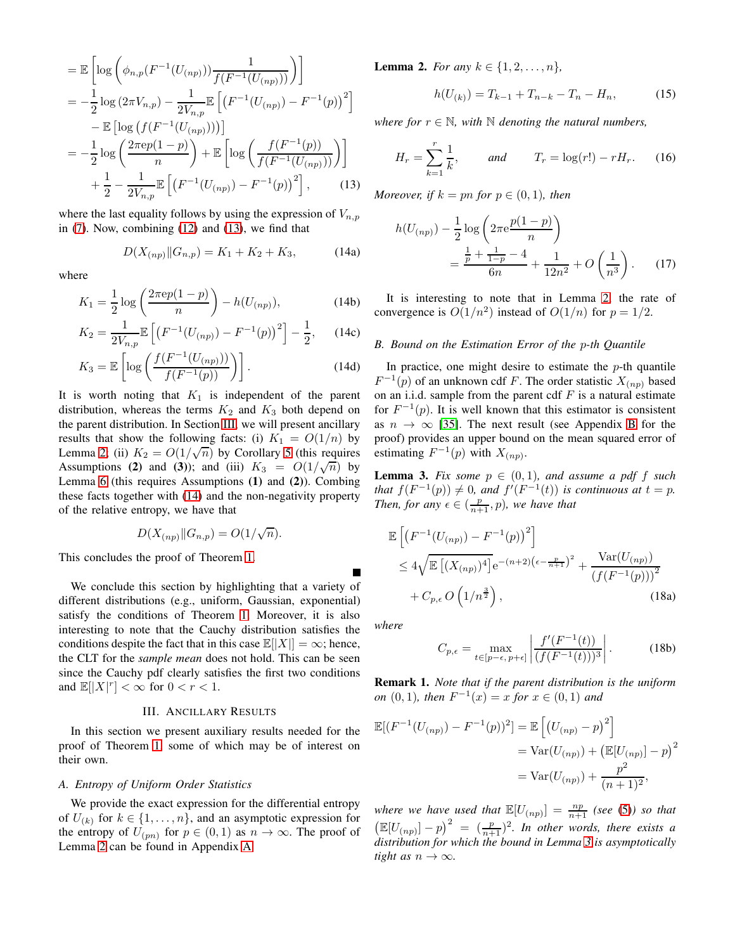$$
= \mathbb{E}\left[\log\left(\phi_{n,p}(F^{-1}(U_{(np)}))\frac{1}{f(F^{-1}(U_{(np)}))}\right)\right]
$$
  
\n
$$
= -\frac{1}{2}\log(2\pi V_{n,p}) - \frac{1}{2V_{n,p}}\mathbb{E}\left[\left(F^{-1}(U_{(np)}) - F^{-1}(p)\right)^2\right]
$$
  
\n
$$
- \mathbb{E}\left[\log\left(f(F^{-1}(U_{(np)}))\right)\right]
$$
  
\n
$$
= -\frac{1}{2}\log\left(\frac{2\pi ep(1-p)}{n}\right) + \mathbb{E}\left[\log\left(\frac{f(F^{-1}(p))}{f(F^{-1}(U_{(np)}))}\right)\right]
$$
  
\n
$$
+ \frac{1}{2} - \frac{1}{2V_{n,p}}\mathbb{E}\left[\left(F^{-1}(U_{(np)}) - F^{-1}(p)\right)^2\right],
$$
 (13)

where the last equality follows by using the expression of  $V_{n,p}$ in [\(7\)](#page-1-2). Now, combining [\(12\)](#page-1-6) and [\(13\)](#page-2-1), we find that

$$
D(X_{(np)} \| G_{n,p}) = K_1 + K_2 + K_3, \tag{14a}
$$

where

$$
K_1 = \frac{1}{2} \log \left( \frac{2\pi e p(1-p)}{n} \right) - h(U_{(np)}),\tag{14b}
$$

$$
K_2 = \frac{1}{2V_{n,p}} \mathbb{E}\left[ \left( F^{-1}(U_{(np)}) - F^{-1}(p) \right)^2 \right] - \frac{1}{2}, \quad (14c)
$$

$$
K_3 = \mathbb{E}\left[\log\left(\frac{f(F^{-1}(U_{(np)}))}{f(F^{-1}(p))}\right)\right].\tag{14d}
$$

It is worth noting that  $K_1$  is independent of the parent distribution, whereas the terms  $K_2$  and  $K_3$  both depend on the parent distribution. In Section [III,](#page-2-0) we will present ancillary results that show the following facts: (i)  $K_1 = O(1/n)$  by Lemma [2;](#page-2-2) (ii)  $K_2 = O(1/\sqrt{n})$  by Corollary [5](#page-3-1) (this requires Assumptions (2) and (3)); and (iii)  $K_3 = O(1/\sqrt{n})$  by Lemma [6](#page-3-2) (this requires Assumptions (1) and (2)). Combing these facts together with [\(14\)](#page-2-3) and the non-negativity property of the relative entropy, we have that

$$
D(X_{(np)} \| G_{n,p}) = O(1/\sqrt{n}).
$$

This concludes the proof of Theorem [1.](#page-1-1)

We conclude this section by highlighting that a variety of different distributions (e.g., uniform, Gaussian, exponential) satisfy the conditions of Theorem [1.](#page-1-1) Moreover, it is also interesting to note that the Cauchy distribution satisfies the conditions despite the fact that in this case  $\mathbb{E}[|X|] = \infty$ ; hence, the CLT for the *sample mean* does not hold. This can be seen since the Cauchy pdf clearly satisfies the first two conditions and  $\mathbb{E}[|X|^r] < \infty$  for  $0 < r < 1$ .

#### III. ANCILLARY RESULTS

<span id="page-2-0"></span>In this section we present auxiliary results needed for the proof of Theorem [1,](#page-1-1) some of which may be of interest on their own.

#### *A. Entropy of Uniform Order Statistics*

We provide the exact expression for the differential entropy of  $U_{(k)}$  for  $k \in \{1, \ldots, n\}$ , and an asymptotic expression for the entropy of  $U_{(pn)}$  for  $p \in (0,1)$  as  $n \to \infty$ . The proof of Lemma [2](#page-2-2) can be found in Appendix [A.](#page-4-0)

<span id="page-2-2"></span>**Lemma 2.** *For any*  $k \in \{1, 2, ..., n\}$ ,

<span id="page-2-6"></span><span id="page-2-5"></span>
$$
h(U_{(k)}) = T_{k-1} + T_{n-k} - T_n - H_n,
$$
\n(15)

*where for*  $r \in \mathbb{N}$ , with  $\mathbb N$  *denoting the natural numbers,* 

$$
H_r = \sum_{k=1}^r \frac{1}{k}
$$
, and  $T_r = \log(r!) - rH_r$ . (16)

<span id="page-2-3"></span><span id="page-2-1"></span>*Moreover, if*  $k = pn$  *for*  $p \in (0,1)$ *, then* 

<span id="page-2-7"></span>
$$
h(U_{(np)}) - \frac{1}{2}\log\left(2\pi e \frac{p(1-p)}{n}\right)
$$
  
= 
$$
\frac{\frac{1}{p} + \frac{1}{1-p} - 4}{6n} + \frac{1}{12n^2} + O\left(\frac{1}{n^3}\right).
$$
 (17)

It is interesting to note that in Lemma [2,](#page-2-2) the rate of convergence is  $O(1/n^2)$  instead of  $O(1/n)$  for  $p = 1/2$ .

#### *B. Bound on the Estimation Error of the* p*-th Quantile*

<span id="page-2-9"></span>In practice, one might desire to estimate the  $p$ -th quantile  $F^{-1}(p)$  of an unknown cdf F. The order statistic  $X_{(np)}$  based on an i.i.d. sample from the parent cdf  $F$  is a natural estimate for  $F^{-1}(p)$ . It is well known that this estimator is consistent as  $n \to \infty$  [\[35\]](#page-10-34). The next result (see Appendix [B](#page-4-1) for the proof) provides an upper bound on the mean squared error of estimating  $F^{-1}(p)$  with  $X_{(np)}$ .

<span id="page-2-4"></span>**Lemma 3.** Fix some  $p \in (0,1)$ , and assume a pdf f such *that*  $f(F^{-1}(p)) \neq 0$ , and  $f'(F^{-1}(t))$  *is continuous at*  $t = p$ . *Then, for any*  $\epsilon \in (\frac{p}{n+1}, p)$ *, we have that* 

$$
\mathbb{E}\left[\left(F^{-1}(U_{(np)}) - F^{-1}(p)\right)^2\right] \n\leq 4\sqrt{\mathbb{E}\left[(X_{(np)})^4\right]}e^{-(n+2)(\epsilon - \frac{p}{n+1})^2} + \frac{\text{Var}(U_{(np)})}{\left(f(F^{-1}(p))\right)^2} \n+ C_{p,\epsilon} O\left(1/n^{\frac{3}{2}}\right),
$$
\n(18a)

*where*

$$
C_{p,\epsilon} = \max_{t \in [p-\epsilon, p+\epsilon]} \left| \frac{f'(F^{-1}(t))}{(f(F^{-1}(t)))^3} \right|.
$$
 (18b)

<span id="page-2-8"></span>Remark 1. *Note that if the parent distribution is the uniform on*  $(0, 1)$ *, then*  $F^{-1}(x) = x$  *for*  $x \in (0, 1)$  *and* 

$$
\mathbb{E}[(F^{-1}(U_{(np)}) - F^{-1}(p))^2] = \mathbb{E}\left[(U_{(np)} - p)^2\right]
$$
  
= Var(U\_{(np)}) + (\mathbb{E}[U\_{(np)}] - p)^2  
= Var(U\_{(np)}) + \frac{p^2}{(n+1)^2},

*where we have used that*  $\mathbb{E}[U_{(np)}] = \frac{np}{n+1}$  *(see* [\(5\)](#page-1-8)*) so that*  $\left(\mathbb{E}[U_{(np)}]-p\right)^2 = \left(\frac{p}{n+1}\right)^2$ . In other words, there exists a *distribution for which the bound in Lemma [3](#page-2-4) is asymptotically tight as*  $n \to \infty$ *.*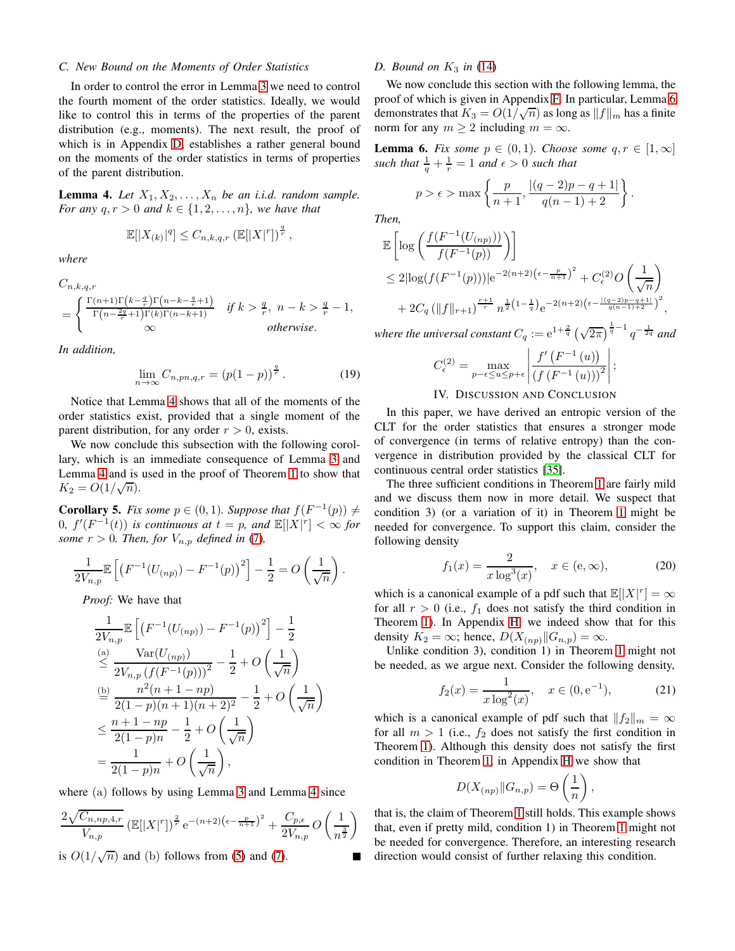## *C. New Bound on the Moments of Order Statistics*

In order to control the error in Lemma [3](#page-2-4) we need to control the fourth moment of the order statistics. Ideally, we would like to control this in terms of the properties of the parent distribution (e.g., moments). The next result, the proof of which is in Appendix [D,](#page-6-0) establishes a rather general bound on the moments of the order statistics in terms of properties of the parent distribution.

<span id="page-3-3"></span>**Lemma 4.** Let  $X_1, X_2, \ldots, X_n$  be an i.i.d. random sample. *For any*  $q, r > 0$  *and*  $k \in \{1, 2, ..., n\}$ *, we have that* 

$$
\mathbb{E}[|X_{(k)}|^q] \leq C_{n,k,q,r} \left(\mathbb{E}[|X|^r]\right)^{\frac{q}{r}},
$$

*where*

$$
C_{n,k,q,r}
$$
  
= 
$$
\begin{cases} \frac{\Gamma(n+1)\Gamma(k-\frac{q}{r})\Gamma(n-k-\frac{q}{r}+1)}{\Gamma(n-\frac{2q}{r}+1)\Gamma(k)\Gamma(n-k+1)} & \text{if } k > \frac{q}{r}, n-k > \frac{q}{r}-1, \\ \infty & \text{otherwise.} \end{cases}
$$

*In addition,*

$$
\lim_{n \to \infty} C_{n, pn, q, r} = (p(1-p))^{\frac{q}{r}}.
$$
 (19)

Notice that Lemma [4](#page-3-3) shows that all of the moments of the order statistics exist, provided that a single moment of the parent distribution, for any order  $r > 0$ , exists.

We now conclude this subsection with the following corollary, which is an immediate consequence of Lemma [3](#page-2-4) and Lemma [4](#page-3-3) and is used in the proof of Theorem [1](#page-1-1) to show that  $K_2 = O(1/\sqrt{n}).$ 

<span id="page-3-1"></span>**Corollary 5.** *Fix some*  $p \in (0, 1)$ *. Suppose that*  $f(F^{-1}(p)) \neq$ 0*,*  $f'(F^{-1}(t))$  is continuous at  $t = p$ , and  $\mathbb{E}[|X|^r] < \infty$  for *some*  $r > 0$ *. Then, for*  $V_{n,p}$  *defined in* [\(7\)](#page-1-2)*,* 

$$
\frac{1}{2V_{n,p}} \mathbb{E}\left[ \left( F^{-1}(U_{(np)}) - F^{-1}(p) \right)^2 \right] - \frac{1}{2} = O\left( \frac{1}{\sqrt{n}} \right).
$$

*Proof:* We have that

$$
\frac{1}{2V_{n,p}} \mathbb{E}\left[\left(F^{-1}(U_{(np)}) - F^{-1}(p)\right)^2\right] - \frac{1}{2}
$$
\n
$$
\stackrel{\text{(a)}}{\leq} \frac{\text{Var}(U_{(np)})}{2V_{n,p}\left(f(F^{-1}(p))\right)^2} - \frac{1}{2} + O\left(\frac{1}{\sqrt{n}}\right)
$$
\n
$$
\stackrel{\text{(b)}}{=} \frac{n^2(n+1-np)}{2(1-p)(n+1)(n+2)^2} - \frac{1}{2} + O\left(\frac{1}{\sqrt{n}}\right)
$$
\n
$$
\leq \frac{n+1-np}{2(1-p)n} - \frac{1}{2} + O\left(\frac{1}{\sqrt{n}}\right)
$$
\n
$$
= \frac{1}{2(1-p)n} + O\left(\frac{1}{\sqrt{n}}\right),
$$

where (a) follows by using Lemma [3](#page-2-4) and Lemma [4](#page-3-3) since

$$
\frac{2\sqrt{C_{n, np, 4, r}}}{V_{n, p}} \left(\mathbb{E}[|X|^r]\right)^{\frac{2}{r}} e^{-(n+2)(\epsilon - \frac{p}{n+1})^2} + \frac{C_{p, \epsilon}}{2V_{n, p}} O\left(\frac{1}{n^{\frac{3}{2}}}\right)
$$

is  $O(1/\sqrt{n})$  and (b) follows from [\(5\)](#page-1-8) and [\(7\)](#page-1-2).

## *D. Bound on*  $K_3$  *in* [\(14\)](#page-2-3)

We now conclude this section with the following lemma, the proof of which is given in Appendix [F.](#page-7-0) In particular, Lemma [6](#page-3-2) demonstrates that  $K_3 = O(1/\sqrt{n})$  as long as  $||f||_m$  has a finite norm for any  $m \geq 2$  including  $m = \infty$ .

<span id="page-3-2"></span>**Lemma 6.** *Fix some*  $p \in (0,1)$ *. Choose some*  $q, r \in [1,\infty]$ such that  $\frac{1}{q} + \frac{1}{r} = 1$  and  $\epsilon > 0$  such that

$$
p > \epsilon > \max \left\{ \frac{p}{n+1}, \frac{|(q-2)p - q + 1|}{q(n-1) + 2} \right\}.
$$

*Then,*

$$
\mathbb{E}\left[\log\left(\frac{f(F^{-1}(U_{(np)}))}{f(F^{-1}(p))}\right)\right]
$$
  
\n
$$
\leq 2|\log(f(F^{-1}(p)))|e^{-2(n+2)(\epsilon-\frac{p}{n+1})^2} + C_{\epsilon}^{(2)}O\left(\frac{1}{\sqrt{n}}\right)
$$
  
\n
$$
+ 2C_q \left(\|f\|_{r+1}\right)^{\frac{r+1}{r}} n^{\frac{1}{2}(1-\frac{1}{q})} e^{-2(n+2)(\epsilon-\frac{[(q-2)p-q+1]}{q(n-1)+2})^2},
$$

where the universal constant  $C_q := e^{1+\frac{2}{q}} \left(\sqrt{2\pi}\right)^{\frac{1}{q}-1} q^{-\frac{1}{2q}}$  and

$$
C_{\epsilon}^{(2)} = \max_{p-\epsilon \le u \le p+\epsilon} \left| \frac{f'(F^{-1}(u))}{(f(F^{-1}(u)))^2} \right|;
$$

## IV. DISCUSSION AND CONCLUSION

<span id="page-3-0"></span>In this paper, we have derived an entropic version of the CLT for the order statistics that ensures a stronger mode of convergence (in terms of relative entropy) than the convergence in distribution provided by the classical CLT for continuous central order statistics [\[35\]](#page-10-34).

The three sufficient conditions in Theorem [1](#page-1-1) are fairly mild and we discuss them now in more detail. We suspect that condition 3) (or a variation of it) in Theorem [1](#page-1-1) might be needed for convergence. To support this claim, consider the following density

<span id="page-3-4"></span>
$$
f_1(x) = \frac{2}{x \log^3(x)}, \quad x \in (\mathbf{e}, \infty), \tag{20}
$$

which is a canonical example of a pdf such that  $\mathbb{E}[|X|^r] = \infty$ for all  $r > 0$  (i.e.,  $f_1$  does not satisfy the third condition in Theorem [1\)](#page-1-1). In Appendix [H,](#page-9-0) we indeed show that for this density  $K_2 = \infty$ ; hence,  $D(X_{(np)}||G_{n,p}) = \infty$ .

Unlike condition 3), condition 1) in Theorem [1](#page-1-1) might not be needed, as we argue next. Consider the following density,

<span id="page-3-5"></span>
$$
f_2(x) = \frac{1}{x \log^2(x)}, \quad x \in (0, e^{-1}), \tag{21}
$$

which is a canonical example of pdf such that  $||f_2||_m = \infty$ for all  $m > 1$  (i.e.,  $f_2$  does not satisfy the first condition in Theorem [1\)](#page-1-1). Although this density does not satisfy the first condition in Theorem [1,](#page-1-1) in Appendix [H](#page-9-0) we show that

$$
D(X_{(np)}||G_{n,p}) = \Theta\left(\frac{1}{n}\right),\,
$$

that is, the claim of Theorem [1](#page-1-1) still holds. This example shows that, even if pretty mild, condition 1) in Theorem [1](#page-1-1) might not be needed for convergence. Therefore, an interesting research direction would consist of further relaxing this condition.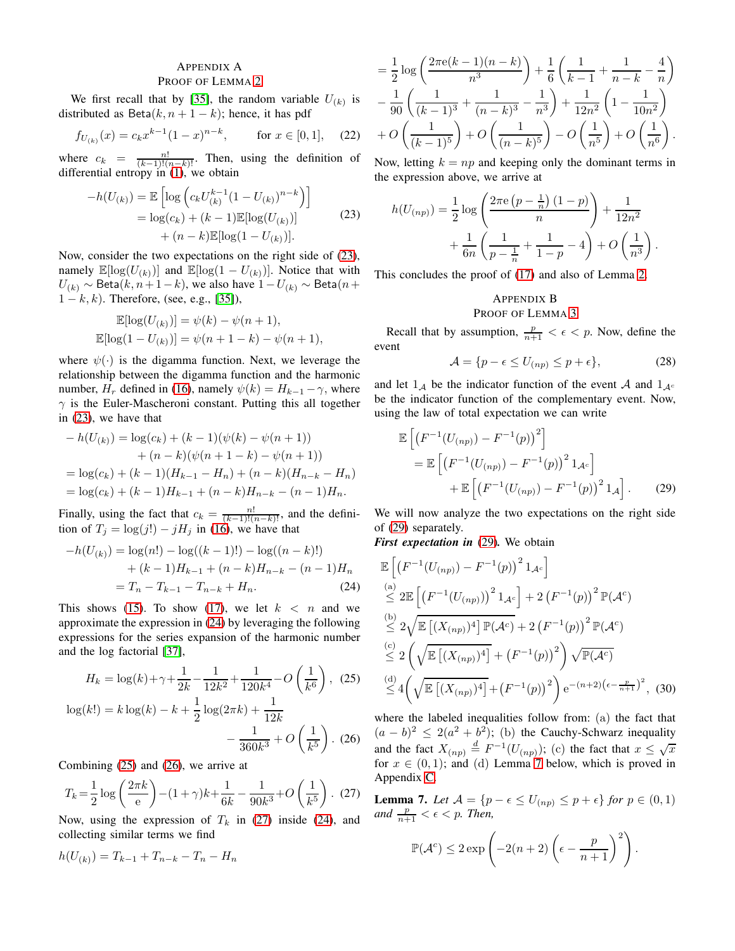## <span id="page-4-0"></span>APPENDIX A PROOF OF LEMMA [2](#page-2-2)

We first recall that by [\[35\]](#page-10-34), the random variable  $U_{(k)}$  is distributed as Beta $(k, n + 1 - k)$ ; hence, it has pdf

$$
f_{U_{(k)}}(x) = c_k x^{k-1} (1-x)^{n-k}
$$
, for  $x \in [0,1]$ , (22)

where  $c_k = \frac{n!}{(k-1)!(n-k)!}$ . Then, using the definition of differential entropy in  $(1)$ , we obtain

<span id="page-4-2"></span>
$$
-h(U_{(k)}) = \mathbb{E}\left[\log\left(c_k U_{(k)}^{k-1} (1 - U_{(k)})^{n-k}\right)\right]
$$
  
= log(c<sub>k</sub>) + (k - 1) \mathbb{E}[log(U\_{(k)})]  
+ (n - k) \mathbb{E}[log(1 - U\_{(k)})]. (23)

Now, consider the two expectations on the right side of [\(23\)](#page-4-2), namely  $\mathbb{E}[\log(U_{(k)})]$  and  $\mathbb{E}[\log(1-U_{(k)})]$ . Notice that with  $U_{(k)}$  ∼ Beta $(k, n+1-k)$ , we also have  $1-U_{(k)}$  ∼ Beta $(n+1)$  $1 - k, k$ ). Therefore, (see, e.g., [\[35\]](#page-10-34)),

$$
\mathbb{E}[\log(U_{(k)})] = \psi(k) - \psi(n+1),
$$
  

$$
\mathbb{E}[\log(1 - U_{(k)})] = \psi(n+1-k) - \psi(n+1),
$$

where  $\psi(\cdot)$  is the digamma function. Next, we leverage the relationship between the digamma function and the harmonic number,  $H_r$  defined in [\(16\)](#page-2-5), namely  $\psi(k) = H_{k-1} - \gamma$ , where  $\gamma$  is the Euler-Mascheroni constant. Putting this all together in [\(23\)](#page-4-2), we have that

$$
-h(U_{(k)}) = \log(c_k) + (k-1)(\psi(k) - \psi(n+1))
$$
  
+  $(n-k)(\psi(n+1-k) - \psi(n+1))$   
=  $\log(c_k) + (k-1)(H_{k-1} - H_n) + (n-k)(H_{n-k} - H_n)$   
=  $\log(c_k) + (k-1)H_{k-1} + (n-k)H_{n-k} - (n-1)H_n.$ 

Finally, using the fact that  $c_k = \frac{n!}{(k-1)!(n-k)!}$ , and the definition of  $T_j = \log(j!) - jH_j$  in [\(16\)](#page-2-5), we have that

$$
-h(U_{(k)}) = \log(n!) - \log((k-1)!) - \log((n-k)!)
$$

$$
+ (k-1)H_{k-1} + (n-k)H_{n-k} - (n-1)H_n
$$

$$
= T_n - T_{k-1} - T_{n-k} + H_n.
$$
(24)

This shows [\(15\)](#page-2-6). To show [\(17\)](#page-2-7), we let  $k < n$  and we approximate the expression in [\(24\)](#page-4-3) by leveraging the following expressions for the series expansion of the harmonic number and the log factorial [\[37\]](#page-10-36),

$$
H_k = \log(k) + \gamma + \frac{1}{2k} - \frac{1}{12k^2} + \frac{1}{120k^4} - O\left(\frac{1}{k^6}\right), (25)
$$

$$
\log(k!) = k \log(k) - k + \frac{1}{2} \log(2\pi k) + \frac{1}{12k} - \frac{1}{360k^3} + O\left(\frac{1}{k^5}\right). (26)
$$

Combining [\(25\)](#page-4-4) and [\(26\)](#page-4-5), we arrive at

<span id="page-4-6"></span>
$$
T_k = \frac{1}{2} \log \left( \frac{2\pi k}{e} \right) - (1+\gamma)k + \frac{1}{6k} - \frac{1}{90k^3} + O\left(\frac{1}{k^5}\right). (27)
$$

Now, using the expression of  $T_k$  in [\(27\)](#page-4-6) inside [\(24\)](#page-4-3), and collecting similar terms we find

$$
h(U_{(k)}) = T_{k-1} + T_{n-k} - T_n - H_n
$$

$$
= \frac{1}{2} \log \left( \frac{2\pi e(k-1)(n-k)}{n^3} \right) + \frac{1}{6} \left( \frac{1}{k-1} + \frac{1}{n-k} - \frac{4}{n} \right)
$$

$$
- \frac{1}{90} \left( \frac{1}{(k-1)^3} + \frac{1}{(n-k)^3} - \frac{1}{n^3} \right) + \frac{1}{12n^2} \left( 1 - \frac{1}{10n^2} \right)
$$

$$
+ O\left( \frac{1}{(k-1)^5} \right) + O\left( \frac{1}{(n-k)^5} \right) - O\left( \frac{1}{n^5} \right) + O\left( \frac{1}{n^6} \right).
$$

Now, letting  $k = np$  and keeping only the dominant terms in the expression above, we arrive at

$$
h(U_{(np)}) = \frac{1}{2} \log \left( \frac{2\pi e \left(p - \frac{1}{n}\right) (1 - p)}{n} \right) + \frac{1}{12n^2} + \frac{1}{6n} \left( \frac{1}{p - \frac{1}{n}} + \frac{1}{1 - p} - 4 \right) + O\left(\frac{1}{n^3}\right).
$$

This concludes the proof of [\(17\)](#page-2-7) and also of Lemma [2.](#page-2-2)

# <span id="page-4-1"></span>APPENDIX B PROOF OF LEMMA [3](#page-2-4)

Recall that by assumption,  $\frac{p}{n+1} < \epsilon < p$ . Now, define the event

<span id="page-4-9"></span><span id="page-4-7"></span>
$$
\mathcal{A} = \{ p - \epsilon \le U_{(np)} \le p + \epsilon \},\tag{28}
$$

and let  $1_A$  be the indicator function of the event A and  $1_{A^c}$ be the indicator function of the complementary event. Now, using the law of total expectation we can write

$$
\mathbb{E}\left[\left(F^{-1}(U_{(np)}) - F^{-1}(p)\right)^2\right] \n= \mathbb{E}\left[\left(F^{-1}(U_{(np)}) - F^{-1}(p)\right)^2 1_{\mathcal{A}^c}\right] \n+ \mathbb{E}\left[\left(F^{-1}(U_{(np)}) - F^{-1}(p)\right)^2 1_{\mathcal{A}}\right].
$$
\n(29)

We will now analyze the two expectations on the right side of [\(29\)](#page-4-7) separately.

*First expectation in* [\(29\)](#page-4-7)*.* We obtain

<span id="page-4-3"></span>
$$
\mathbb{E}\left[\left(F^{-1}(U_{(np)})-F^{-1}(p)\right)^2 1_{\mathcal{A}^c}\right] \n\stackrel{(a)}{\leq} 2\mathbb{E}\left[\left(F^{-1}(U_{(np)})\right)^2 1_{\mathcal{A}^c}\right] + 2\left(F^{-1}(p)\right)^2 \mathbb{P}(\mathcal{A}^c) \n\stackrel{(b)}{\leq} 2\sqrt{\mathbb{E}\left[(X_{(np)})^4\right] \mathbb{P}(\mathcal{A}^c)} + 2\left(F^{-1}(p)\right)^2 \mathbb{P}(\mathcal{A}^c) \n\stackrel{(c)}{\leq} 2\left(\sqrt{\mathbb{E}\left[(X_{(np)})^4\right]} + \left(F^{-1}(p)\right)^2\right) \sqrt{\mathbb{P}(\mathcal{A}^c)} \n\stackrel{(d)}{\leq} 4\left(\sqrt{\mathbb{E}\left[(X_{(np)})^4\right]} + \left(F^{-1}(p)\right)^2\right) e^{-(n+2)\left(\epsilon - \frac{p}{n+1}\right)^2},
$$
\n(30)

<span id="page-4-10"></span><span id="page-4-5"></span><span id="page-4-4"></span>where the labeled inequalities follow from: (a) the fact that  $(a - b)^2 \leq 2(a^2 + b^2)$ ; (b) the Cauchy-Schwarz inequality and the fact  $X_{(np)} \stackrel{d}{=} F^{-1}(U_{(np)})$ ; (c) the fact that  $x \le \sqrt{x}$ for  $x \in (0,1)$ ; and (d) Lemma [7](#page-4-8) below, which is proved in Appendix [C.](#page-6-1)

<span id="page-4-8"></span>**Lemma 7.** Let  $A = \{p - \epsilon \leq U_{(np)} \leq p + \epsilon\}$  for  $p \in (0, 1)$ and  $\frac{p}{n+1} < \epsilon < p$ . Then,

$$
\mathbb{P}(\mathcal{A}^c) \le 2 \exp\left(-2(n+2)\left(\epsilon - \frac{p}{n+1}\right)^2\right).
$$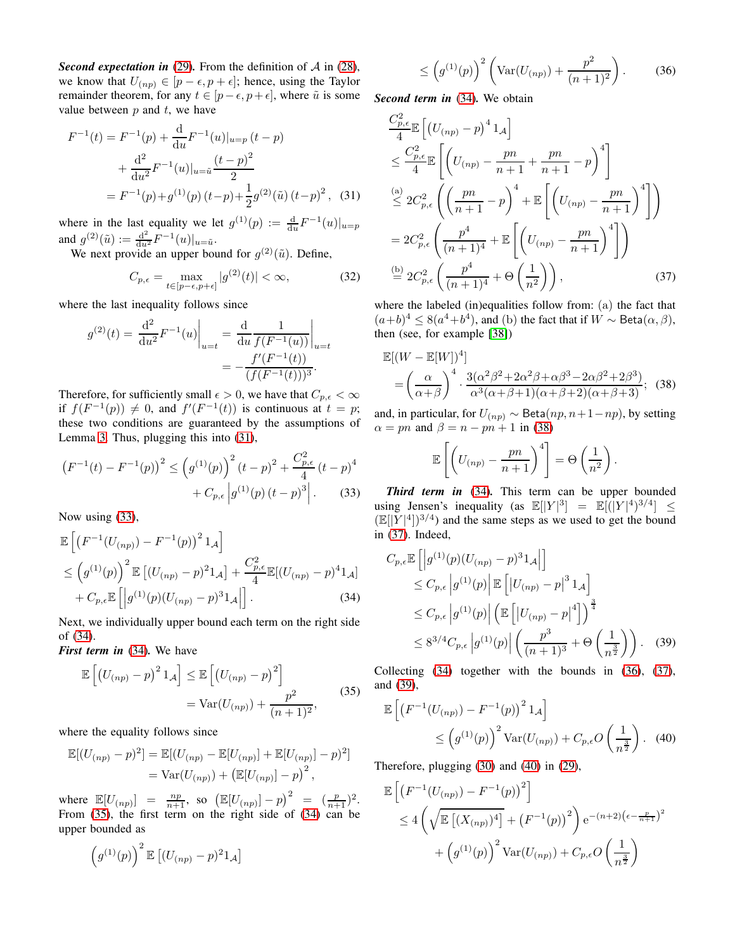*Second expectation in* [\(29\)](#page-4-7). From the definition of  $A$  in [\(28\)](#page-4-9), we know that  $U_{(np)} \in [p - \epsilon, p + \epsilon]$ ; hence, using the Taylor remainder theorem, for any  $t \in [p-\epsilon, p+\epsilon]$ , where  $\tilde{u}$  is some value between  $p$  and  $t$ , we have

$$
F^{-1}(t) = F^{-1}(p) + \frac{d}{du} F^{-1}(u)|_{u=p} (t - p)
$$
  
+ 
$$
\frac{d^2}{du^2} F^{-1}(u)|_{u=\tilde{u}} \frac{(t - p)^2}{2}
$$
  
= 
$$
F^{-1}(p) + g^{(1)}(p) (t - p) + \frac{1}{2} g^{(2)}(\tilde{u}) (t - p)^2
$$
, (31)

where in the last equality we let  $g^{(1)}(p) := \frac{d}{du} F^{-1}(u)|_{u=p}$ and  $g^{(2)}(\tilde{u}) := \frac{d^2}{du^2} F^{-1}(u)|_{u=\tilde{u}}.$ 

We next provide an upper bound for  $g^{(2)}(\tilde{u})$ . Define,

$$
C_{p,\epsilon} = \max_{t \in [p-\epsilon, p+\epsilon]} |g^{(2)}(t)| < \infty,
$$
\n(32)

where the last inequality follows since

$$
g^{(2)}(t) = \frac{d^2}{du^2} F^{-1}(u) \Big|_{u=t} = \frac{d}{du} \frac{1}{f(F^{-1}(u))} \Big|_{u=t}
$$
  
= 
$$
-\frac{f'(F^{-1}(t))}{(f(F^{-1}(t)))^3}.
$$

Therefore, for sufficiently small  $\epsilon > 0$ , we have that  $C_{p,\epsilon} < \infty$ if  $f(F^{-1}(p)) \neq 0$ , and  $f'(F^{-1}(t))$  is continuous at  $t = p$ ; these two conditions are guaranteed by the assumptions of Lemma [3.](#page-2-4) Thus, plugging this into [\(31\)](#page-5-0),

$$
(F^{-1}(t) - F^{-1}(p))^2 \le (g^{(1)}(p))^2 (t - p)^2 + \frac{C_{p,\epsilon}^2}{4} (t - p)^4
$$

$$
+ C_{p,\epsilon} |g^{(1)}(p) (t - p)^3|.
$$
 (33)

Now using [\(33\)](#page-5-1),

$$
\mathbb{E}\left[\left(F^{-1}(U_{(np)})-F^{-1}(p)\right)^2 1_{\mathcal{A}}\right] \leq \left(g^{(1)}(p)\right)^2 \mathbb{E}\left[(U_{(np)}-p)^2 1_{\mathcal{A}}\right] + \frac{C_{p,\epsilon}^2}{4} \mathbb{E}[(U_{(np)}-p)^4 1_{\mathcal{A}}] + C_{p,\epsilon} \mathbb{E}\left[\left|g^{(1)}(p)(U_{(np)}-p)^3 1_{\mathcal{A}}\right|\right].
$$
\n(34)

Next, we individually upper bound each term on the right side of [\(34\)](#page-5-2).

*First term in* [\(34\)](#page-5-2)*.* We have

<span id="page-5-3"></span>
$$
\mathbb{E}\left[\left(U_{(np)}-p\right)^2 1_{\mathcal{A}}\right] \leq \mathbb{E}\left[\left(U_{(np)}-p\right)^2\right] \\
= \text{Var}(U_{(np)}) + \frac{p^2}{(n+1)^2},\n\tag{35}
$$

where the equality follows since

$$
\mathbb{E}[(U_{(np)} - p)^2] = \mathbb{E}[(U_{(np)} - \mathbb{E}[U_{(np)}] + \mathbb{E}[U_{(np)}] - p)^2]
$$
  
= Var(U\_{(np)}) + (\mathbb{E}[U\_{(np)}] - p)^2,

where  $\mathbb{E}[U_{(np)}] = \frac{np}{n+1}$ , so  $(\mathbb{E}[U_{(np)}] - p)^2 = (\frac{p}{n+1})^2$ . From [\(35\)](#page-5-3), the first term on the right side of [\(34\)](#page-5-2) can be upper bounded as

$$
\left(g^{(1)}(p)\right)^2 \mathbb{E}\left[(U_{(np)}-p)^2 1_{\mathcal{A}}\right]
$$

<span id="page-5-6"></span>
$$
\leq \left(g^{(1)}(p)\right)^2 \left(\text{Var}(U_{(np)}) + \frac{p^2}{(n+1)^2}\right). \tag{36}
$$

*Second term in* [\(34\)](#page-5-2)*.* We obtain

<span id="page-5-0"></span>
$$
\frac{C_{p,\epsilon}^{2}}{4} \mathbb{E}\left[\left(U_{(np)}-p\right)^{4} 1_{\mathcal{A}}\right]
$$
\n
$$
\leq \frac{C_{p,\epsilon}^{2}}{4} \mathbb{E}\left[\left(U_{(np)}-\frac{pn}{n+1}+\frac{pn}{n+1}-p\right)^{4}\right]
$$
\n
$$
\stackrel{\text{(a)}}{\leq} 2C_{p,\epsilon}^{2}\left(\left(\frac{pn}{n+1}-p\right)^{4} + \mathbb{E}\left[\left(U_{(np)}-\frac{pn}{n+1}\right)^{4}\right]\right)
$$
\n
$$
= 2C_{p,\epsilon}^{2}\left(\frac{p^{4}}{(n+1)^{4}} + \mathbb{E}\left[\left(U_{(np)}-\frac{pn}{n+1}\right)^{4}\right]\right)
$$
\n
$$
\stackrel{\text{(b)}}{=} 2C_{p,\epsilon}^{2}\left(\frac{p^{4}}{(n+1)^{4}} + \Theta\left(\frac{1}{n^{2}}\right)\right),\tag{37}
$$

<span id="page-5-5"></span>where the labeled (in)equalities follow from: (a) the fact that  $(a+b)^4 \leq 8(a^4+b^4)$ , and (b) the fact that if  $W \sim \text{Beta}(\alpha, \beta)$ , then (see, for example [\[38\]](#page-10-37))

$$
\mathbb{E}[(W - \mathbb{E}[W])^4] = \left(\frac{\alpha}{\alpha + \beta}\right)^4 \cdot \frac{3(\alpha^2 \beta^2 + 2\alpha^2 \beta + \alpha \beta^3 - 2\alpha \beta^2 + 2\beta^3)}{\alpha^3(\alpha + \beta + 1)(\alpha + \beta + 2)(\alpha + \beta + 3)};
$$
 (38)

and, in particular, for  $U_{(np)} \sim \text{Beta}(np, n+1-np)$ , by setting  $\alpha = pn$  and  $\beta = n - pn + 1$  in [\(38\)](#page-5-4)

<span id="page-5-4"></span>
$$
\mathbb{E}\left[\left(U_{(np)}-\frac{pn}{n+1}\right)^4\right]=\Theta\left(\frac{1}{n^2}\right).
$$

<span id="page-5-1"></span>*Third term in* [\(34\)](#page-5-2)*.* This term can be upper bounded using Jensen's inequality (as  $\mathbb{E}[|Y|^3] = \mathbb{E}[|Y|^4]^{3/4} \leq$  $(\mathbb{E}[|Y|^4])^{3/4}$  and the same steps as we used to get the bound in [\(37\)](#page-5-5). Indeed,

<span id="page-5-2"></span>
$$
C_{p,\epsilon} \mathbb{E} \left[ \left| g^{(1)}(p)(U_{(np)} - p)^3 1_{\mathcal{A}} \right| \right]
$$
  
\n
$$
\leq C_{p,\epsilon} \left| g^{(1)}(p) \right| \mathbb{E} \left[ \left| U_{(np)} - p \right|^3 1_{\mathcal{A}} \right]
$$
  
\n
$$
\leq C_{p,\epsilon} \left| g^{(1)}(p) \right| \left( \mathbb{E} \left[ \left| U_{(np)} - p \right|^4 \right] \right)^{\frac{3}{4}}
$$
  
\n
$$
\leq 8^{3/4} C_{p,\epsilon} \left| g^{(1)}(p) \right| \left( \frac{p^3}{(n+1)^3} + \Theta \left( \frac{1}{n^{\frac{3}{2}}} \right) \right). \quad (39)
$$

Collecting [\(34\)](#page-5-2) together with the bounds in [\(36\)](#page-5-6), [\(37\)](#page-5-5), and [\(39\)](#page-5-7),

<span id="page-5-8"></span><span id="page-5-7"></span>
$$
\mathbb{E}\left[\left(F^{-1}(U_{(np)}) - F^{-1}(p)\right)^2 1_{\mathcal{A}}\right] \le \left(g^{(1)}(p)\right)^2 \text{Var}(U_{(np)}) + C_{p,\epsilon} O\left(\frac{1}{n^{\frac{3}{2}}}\right). \tag{40}
$$

Therefore, plugging [\(30\)](#page-4-10) and [\(40\)](#page-5-8) in [\(29\)](#page-4-7),

$$
\mathbb{E}\left[\left(F^{-1}(U_{(np)}) - F^{-1}(p)\right)^2\right] \n\leq 4\left(\sqrt{\mathbb{E}\left[(X_{(np)})^4\right]} + \left(F^{-1}(p)\right)^2\right)e^{-(n+2)(\epsilon - \frac{p}{n+1})^2} \n+ \left(g^{(1)}(p)\right)^2 \text{Var}(U_{(np)}) + C_{p,\epsilon}O\left(\frac{1}{n^{\frac{3}{2}}}\right)
$$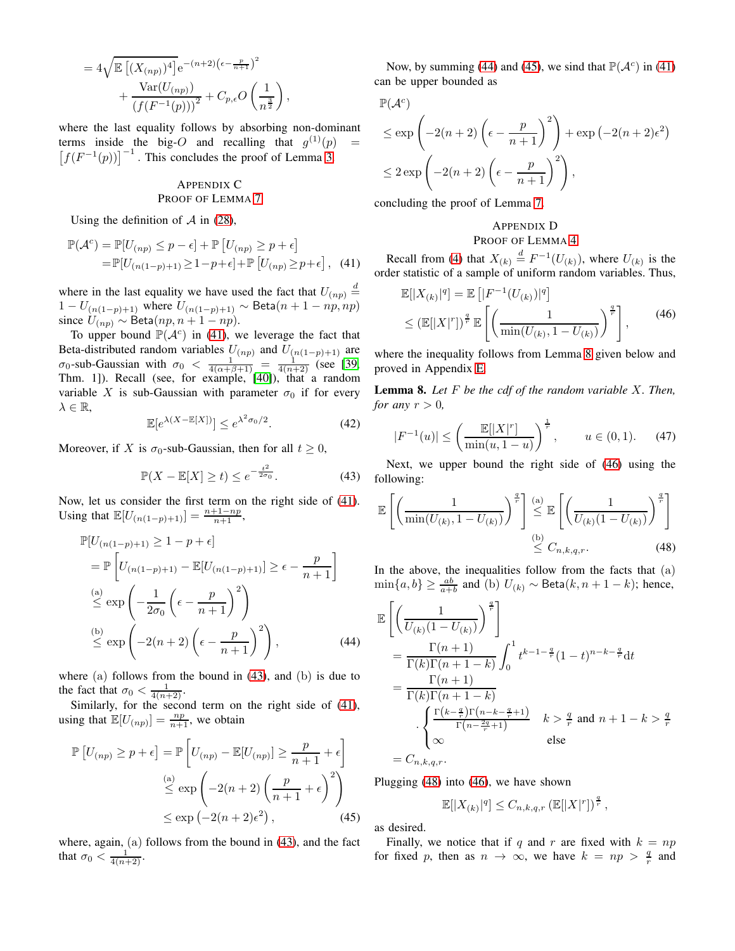$$
= 4\sqrt{\mathbb{E}\left[(X_{(np)})^4\right]} e^{-(n+2)(\epsilon - \frac{p}{n+1})^2} + \frac{\text{Var}(U_{(np)})}{(f(F^{-1}(p)))^2} + C_{p,\epsilon} O\left(\frac{1}{n^{\frac{3}{2}}}\right),
$$

where the last equality follows by absorbing non-dominant terms inside the big-O and recalling that  $g^{(1)}(p)$  =  $[f(F^{-1}(p))]^{-1}$ . This concludes the proof of Lemma [3.](#page-2-4)

# <span id="page-6-1"></span>APPENDIX C PROOF OF LEMMA [7](#page-4-8)

Using the definition of  $\mathcal A$  in [\(28\)](#page-4-9),

$$
\mathbb{P}(\mathcal{A}^c) = \mathbb{P}[U_{(np)} \le p - \epsilon] + \mathbb{P}[U_{(np)} \ge p + \epsilon]
$$
  
=  $\mathbb{P}[U_{(n(1-p)+1)} \ge 1-p+\epsilon] + \mathbb{P}[U_{(np)} \ge p+\epsilon]$ , (41)

where in the last equality we have used the fact that  $U_{(np)} \stackrel{d}{=}$ 1 −  $U_{(n(1-p)+1)}$  where  $U_{(n(1-p)+1)} \sim \text{Beta}(n+1 - np, np)$ since  $U_{(np)} \sim \text{Beta}(np, n + 1 - np).$ 

To upper bound  $\mathbb{P}(\mathcal{A}^c)$  in [\(41\)](#page-6-2), we leverage the fact that Beta-distributed random variables  $U_{(np)}$  and  $U_{(n(1-p)+1)}$  are  $\sigma_0$ -sub-Gaussian with  $\sigma_0 < \frac{1}{4(\alpha+\beta+1)} = \frac{1}{4(n+2)}$  (see [\[39,](#page-10-38) Thm. 1]). Recall (see, for example, [\[40\]](#page-10-39)), that a random variable X is sub-Gaussian with parameter  $\sigma_0$  if for every  $\lambda \in \mathbb{R}$ ,

$$
\mathbb{E}[e^{\lambda(X-\mathbb{E}[X])}] \le e^{\lambda^2 \sigma_0/2}.
$$
 (42)

Moreover, if X is  $\sigma_0$ -sub-Gaussian, then for all  $t \geq 0$ ,

<span id="page-6-3"></span>
$$
\mathbb{P}(X - \mathbb{E}[X] \ge t) \le e^{-\frac{t^2}{2\sigma_0}}.\tag{43}
$$

Now, let us consider the first term on the right side of [\(41\)](#page-6-2). Using that  $\mathbb{E}[U_{(n(1-p)+1)}] = \frac{n+1-np}{n+1},$ 

$$
\mathbb{P}[U_{(n(1-p)+1)} \ge 1 - p + \epsilon]
$$
\n
$$
= \mathbb{P}\left[U_{(n(1-p)+1)} - \mathbb{E}[U_{(n(1-p)+1)}] \ge \epsilon - \frac{p}{n+1}\right]
$$
\n
$$
\stackrel{\text{(a)}}{\le} \exp\left(-\frac{1}{2\sigma_0}\left(\epsilon - \frac{p}{n+1}\right)^2\right)
$$
\n
$$
\stackrel{\text{(b)}}{\le} \exp\left(-2(n+2)\left(\epsilon - \frac{p}{n+1}\right)^2\right), \tag{44}
$$

where  $(a)$  follows from the bound in  $(43)$ , and  $(b)$  is due to the fact that  $\sigma_0 < \frac{1}{4(n+2)}$ .

Similarly, for the second term on the right side of [\(41\)](#page-6-2), using that  $\mathbb{E}[U_{(np)}] = \frac{np}{n+1}$ , we obtain

$$
\mathbb{P}\left[U_{(np)} \ge p + \epsilon\right] = \mathbb{P}\left[U_{(np)} - \mathbb{E}[U_{(np)}] \ge \frac{p}{n+1} + \epsilon\right]
$$

$$
\stackrel{\text{(a)}}{\le} \exp\left(-2(n+2)\left(\frac{p}{n+1} + \epsilon\right)^2\right)
$$

$$
\le \exp\left(-2(n+2)\epsilon^2\right),\tag{45}
$$

where, again, (a) follows from the bound in [\(43\)](#page-6-3), and the fact that  $\sigma_0 < \frac{1}{4(n+2)}$ .

Now, by summing [\(44\)](#page-6-4) and [\(45\)](#page-6-5), we sind that  $\mathbb{P}(\mathcal{A}^c)$  in [\(41\)](#page-6-2) can be upper bounded as

$$
\mathbb{P}(\mathcal{A}^c)
$$

$$
\leq \exp\left(-2(n+2)\left(\epsilon - \frac{p}{n+1}\right)^2\right) + \exp\left(-2(n+2)\epsilon^2\right)
$$
  

$$
\leq 2\exp\left(-2(n+2)\left(\epsilon - \frac{p}{n+1}\right)^2\right),
$$

concluding the proof of Lemma [7.](#page-4-8)

# <span id="page-6-0"></span>APPENDIX D PROOF OF LEMMA [4](#page-3-3)

<span id="page-6-2"></span>Recall from [\(4\)](#page-1-3) that  $X_{(k)} \stackrel{d}{=} F^{-1}(U_{(k)})$ , where  $U_{(k)}$  is the order statistic of a sample of uniform random variables. Thus,

<span id="page-6-7"></span>
$$
\mathbb{E}[|X_{(k)}|^q] = \mathbb{E}\left[|F^{-1}(U_{(k)})|^q\right] \\
\leq (\mathbb{E}[|X|^r])^{\frac{q}{r}} \mathbb{E}\left[\left(\frac{1}{\min(U_{(k)}, 1 - U_{(k)})}\right)^{\frac{q}{r}}\right],\n\tag{46}
$$

where the inequality follows from Lemma [8](#page-6-6) given below and proved in Appendix [E.](#page-7-1)

<span id="page-6-6"></span>Lemma 8. *Let* F *be the cdf of the random variable* X*. Then, for any*  $r > 0$ *,* 

$$
|F^{-1}(u)| \le \left(\frac{\mathbb{E}[|X|^r]}{\min(u, 1-u)}\right)^{\frac{1}{r}}, \qquad u \in (0,1). \tag{47}
$$

Next, we upper bound the right side of [\(46\)](#page-6-7) using the following:

<span id="page-6-8"></span>
$$
\mathbb{E}\left[\left(\frac{1}{\min(U_{(k)}, 1 - U_{(k)})}\right)^{\frac{q}{r}}\right] \stackrel{\text{(a)}}{\leq} \mathbb{E}\left[\left(\frac{1}{U_{(k)}(1 - U_{(k)})}\right)^{\frac{q}{r}}\right] \leq C_{n,k,q,r}.\tag{48}
$$

In the above, the inequalities follow from the facts that  $(a)$  $\min\{a, b\} \ge \frac{ab}{a+b}$  and (b)  $U_{(k)} \sim \text{Beta}(k, n+1-k)$ ; hence,

<span id="page-6-4"></span>
$$
\mathbb{E}\left[\left(\frac{1}{U_{(k)}(1-U_{(k)})}\right)^{\frac{q}{r}}\right]
$$
\n
$$
=\frac{\Gamma(n+1)}{\Gamma(k)\Gamma(n+1-k)}\int_{0}^{1} t^{k-1-\frac{q}{r}}(1-t)^{n-k-\frac{q}{r}}dt
$$
\n
$$
=\frac{\Gamma(n+1)}{\Gamma(k)\Gamma(n+1-k)}
$$
\n
$$
\cdot\begin{cases}\frac{\Gamma(k-\frac{q}{r})\Gamma(n-k-\frac{q}{r}+1)}{\Gamma(n-\frac{2q}{r}+1)} & k>\frac{q}{r} \text{ and } n+1-k>\frac{q}{r} \\ \infty & \text{else} \end{cases}
$$
\n
$$
=C_{n,k,q,r}.
$$

Plugging [\(48\)](#page-6-8) into [\(46\)](#page-6-7), we have shown

$$
\mathbb{E}[|X_{(k)}|^q] \leq C_{n,k,q,r} \left(\mathbb{E}[|X|^r]\right)^{\frac{q}{r}},
$$

<span id="page-6-5"></span>as desired.

Finally, we notice that if q and r are fixed with  $k = np$ for fixed p, then as  $n \to \infty$ , we have  $k = np > \frac{q}{r}$  and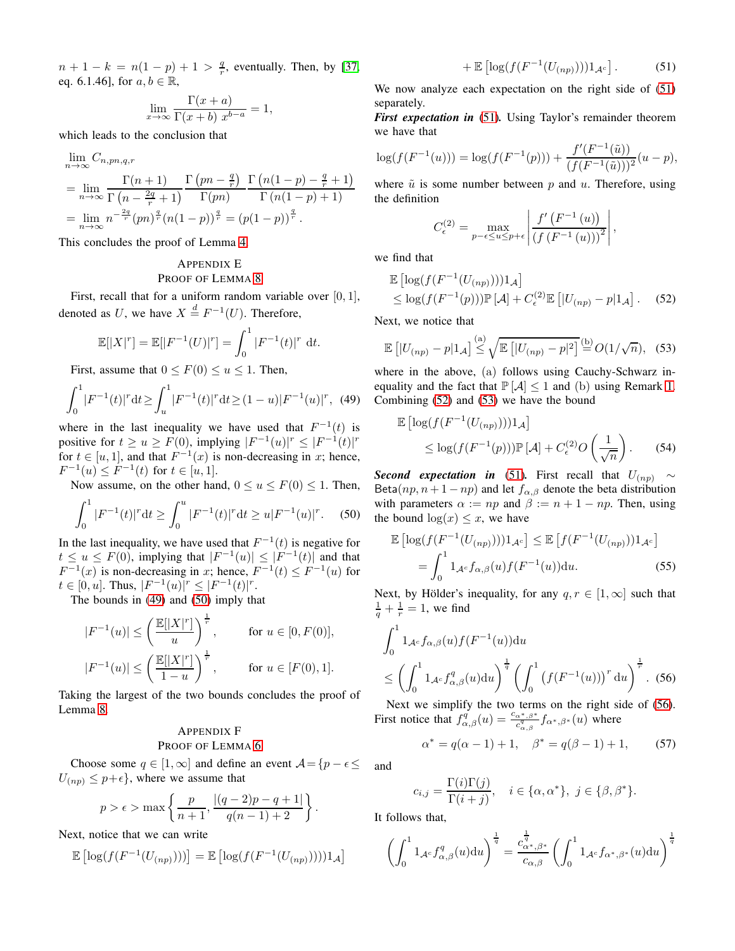$n + 1 - k = n(1 - p) + 1 > \frac{q}{r}$ , eventually. Then, by [\[37,](#page-10-36) eq. 6.1.46], for  $a, b \in \mathbb{R}$ ,

$$
\lim_{x \to \infty} \frac{\Gamma(x+a)}{\Gamma(x+b) \; x^{b-a}} = 1,
$$

which leads to the conclusion that

$$
\lim_{n \to \infty} C_{n, pn, q, r}
$$
\n
$$
= \lim_{n \to \infty} \frac{\Gamma(n+1)}{\Gamma(n - \frac{2q}{r} + 1)} \frac{\Gamma(pn - \frac{q}{r})}{\Gamma(pn)} \frac{\Gamma(n(1-p) - \frac{q}{r} + 1)}{\Gamma(n(1-p) + 1)}
$$
\n
$$
= \lim_{n \to \infty} n^{-\frac{2q}{r}} (pn)^{\frac{q}{r}} (n(1-p))^{\frac{q}{r}} = (p(1-p))^{\frac{q}{r}}.
$$

This concludes the proof of Lemma [4.](#page-3-3)

# <span id="page-7-1"></span>APPENDIX E PROOF OF LEMMA [8](#page-6-6)

First, recall that for a uniform random variable over  $[0, 1]$ , denoted as U, we have  $X \stackrel{d}{=} F^{-1}(U)$ . Therefore,

$$
\mathbb{E}[|X|^r] = \mathbb{E}[|F^{-1}(U)|^r] = \int_0^1 |F^{-1}(t)|^r dt.
$$

First, assume that  $0 \leq F(0) \leq u \leq 1$ . Then,

$$
\int_0^1 |F^{-1}(t)|^r dt \ge \int_u^1 |F^{-1}(t)|^r dt \ge (1-u)|F^{-1}(u)|^r, \tag{49}
$$

where in the last inequality we have used that  $F^{-1}(t)$  is positive for  $t \ge u \ge F(0)$ , implying  $|F^{-1}(u)|^r \le |F^{-1}(t)|^r$ for  $t \in [u, 1]$ , and that  $F^{-1}(x)$  is non-decreasing in x; hence,  $F^{-1}(u) \leq F^{-1}(t)$  for  $t \in [u, 1]$ .

Now assume, on the other hand,  $0 \le u \le F(0) \le 1$ . Then,

$$
\int_0^1 |F^{-1}(t)|^r dt \ge \int_0^u |F^{-1}(t)|^r dt \ge u|F^{-1}(u)|^r. \tag{50}
$$

In the last inequality, we have used that  $F^{-1}(t)$  is negative for  $t \le u \le F(0)$ , implying that  $|F^{-1}(u)| \le |F^{-1}(t)|$  and that  $F^{-1}(x)$  is non-decreasing in x; hence,  $F^{-1}(t) \leq F^{-1}(u)$  for  $t \in [0, u]$ . Thus,  $|F^{-1}(u)|^r \leq |F^{-1}(t)|^r$ .

The bounds in [\(49\)](#page-7-2) and [\(50\)](#page-7-3) imply that

$$
|F^{-1}(u)| \le \left(\frac{\mathbb{E}[|X|^r]}{u}\right)^{\frac{1}{r}}, \quad \text{for } u \in [0, F(0)],
$$
  

$$
|F^{-1}(u)| \le \left(\frac{\mathbb{E}[|X|^r]}{1-u}\right)^{\frac{1}{r}}, \quad \text{for } u \in [F(0), 1].
$$

Taking the largest of the two bounds concludes the proof of Lemma [8.](#page-6-6)

# <span id="page-7-0"></span>APPENDIX F PROOF OF LEMMA [6](#page-3-2)

Choose some  $q \in [1,\infty]$  and define an event  $\mathcal{A} = \{p - \epsilon \leq \epsilon\}$  $U_{(np)} \leq p+\epsilon$ , where we assume that

$$
p > \epsilon > \max \left\{ \frac{p}{n+1}, \frac{|(q-2)p - q + 1|}{q(n-1) + 2} \right\}.
$$

Next, notice that we can write

$$
\mathbb{E}\left[\log(f(F^{-1}(U_{(np)})))\right] = \mathbb{E}\left[\log(f(F^{-1}(U_{(np)}))))1_{\mathcal{A}}\right]
$$

<span id="page-7-4"></span>
$$
+ \mathbb{E}\left[\log(f(F^{-1}(U_{(np)})))1_{\mathcal{A}^c}\right].\tag{51}
$$

We now analyze each expectation on the right side of [\(51\)](#page-7-4) separately.

*First expectation in* [\(51\)](#page-7-4). Using Taylor's remainder theorem we have that

$$
\log(f(F^{-1}(u))) = \log(f(F^{-1}(p))) + \frac{f'(F^{-1}(\tilde{u}))}{(f(F^{-1}(\tilde{u})))^2}(u - p),
$$

where  $\tilde{u}$  is some number between p and u. Therefore, using the definition

<span id="page-7-5"></span>
$$
C_{\epsilon}^{(2)} = \max_{p-\epsilon \le u \le p+\epsilon} \left| \frac{f'(F^{-1}(u))}{(f(F^{-1}(u)))^2} \right|,
$$

we find that

$$
\mathbb{E}\left[\log(f(F^{-1}(U_{(np)})))1_{\mathcal{A}}\right] \le \log(f(F^{-1}(p)))\mathbb{P}[\mathcal{A}] + C_{\epsilon}^{(2)}\mathbb{E}\left[|U_{(np)} - p|1_{\mathcal{A}}\right].
$$
 (52)

Next, we notice that

<span id="page-7-6"></span>
$$
\mathbb{E}\left[|U_{(np)}-p|1_{\mathcal{A}}\right] \stackrel{\text{(a)}}{\leq} \sqrt{\mathbb{E}\left[|U_{(np)}-p|^2\right]} \stackrel{\text{(b)}}{=} O(1/\sqrt{n}), \quad (53)
$$

<span id="page-7-2"></span>where in the above, (a) follows using Cauchy-Schwarz inequality and the fact that  $P[A] \leq 1$  and (b) using Remark [1.](#page-2-8) Combining [\(52\)](#page-7-5) and [\(53\)](#page-7-6) we have the bound

<span id="page-7-10"></span>
$$
\mathbb{E}\left[\log(f(F^{-1}(U_{(np)})))1_{\mathcal{A}}\right] \leq \log(f(F^{-1}(p)))\mathbb{P}[\mathcal{A}] + C_{\epsilon}^{(2)}O\left(\frac{1}{\sqrt{n}}\right). \tag{54}
$$

<span id="page-7-3"></span>*Second expectation in* [\(51\)](#page-7-4). First recall that  $U_{(np)} \sim$ Beta $(np, n+1-np)$  and let  $f_{\alpha,\beta}$  denote the beta distribution with parameters  $\alpha := np$  and  $\beta := n + 1 - np$ . Then, using the bound  $\log(x) \leq x$ , we have

<span id="page-7-8"></span>
$$
\mathbb{E}\left[\log(f(F^{-1}(U_{(np)})))1_{\mathcal{A}^c}\right] \leq \mathbb{E}\left[f(F^{-1}(U_{(np)}))1_{\mathcal{A}^c}\right]
$$

$$
=\int_0^1 1_{\mathcal{A}^c} f_{\alpha,\beta}(u)f(F^{-1}(u))du.
$$
(55)

Next, by Hölder's inequality, for any  $q, r \in [1, \infty]$  such that  $\frac{1}{q} + \frac{1}{r} = 1$ , we find

$$
\int_0^1 1_{\mathcal{A}^c} f_{\alpha,\beta}(u) f(F^{-1}(u)) \mathrm{d}u
$$
\n
$$
\leq \left( \int_0^1 1_{\mathcal{A}^c} f_{\alpha,\beta}^q(u) \mathrm{d}u \right)^{\frac{1}{q}} \left( \int_0^1 \left( f(F^{-1}(u)) \right)^r \mathrm{d}u \right)^{\frac{1}{r}}. (56)
$$

Next we simplify the two terms on the right side of [\(56\)](#page-7-7). First notice that  $f_{\alpha,\beta}(u) = \frac{c_{\alpha^*,\beta^*}}{c_{\alpha,\beta}^d} f_{\alpha^*,\beta^*}(u)$  where

<span id="page-7-9"></span><span id="page-7-7"></span>
$$
\alpha^* = q(\alpha - 1) + 1, \quad \beta^* = q(\beta - 1) + 1, \tag{57}
$$

and

$$
c_{i,j} = \frac{\Gamma(i)\Gamma(j)}{\Gamma(i+j)}, \quad i \in \{\alpha, \alpha^*\}, \ j \in \{\beta, \beta^*\}.
$$

It follows that,

$$
\left(\int_0^1 1_{\mathcal{A}^c} f_{\alpha,\beta}^q(u) \mathrm{d}u\right)^{\frac{1}{q}} = \frac{c_{\alpha^*,\beta^*}^{\frac{1}{q}}}{c_{\alpha,\beta}} \left(\int_0^1 1_{\mathcal{A}^c} f_{\alpha^*,\beta^*}(u) \mathrm{d}u\right)^{\frac{1}{q}}
$$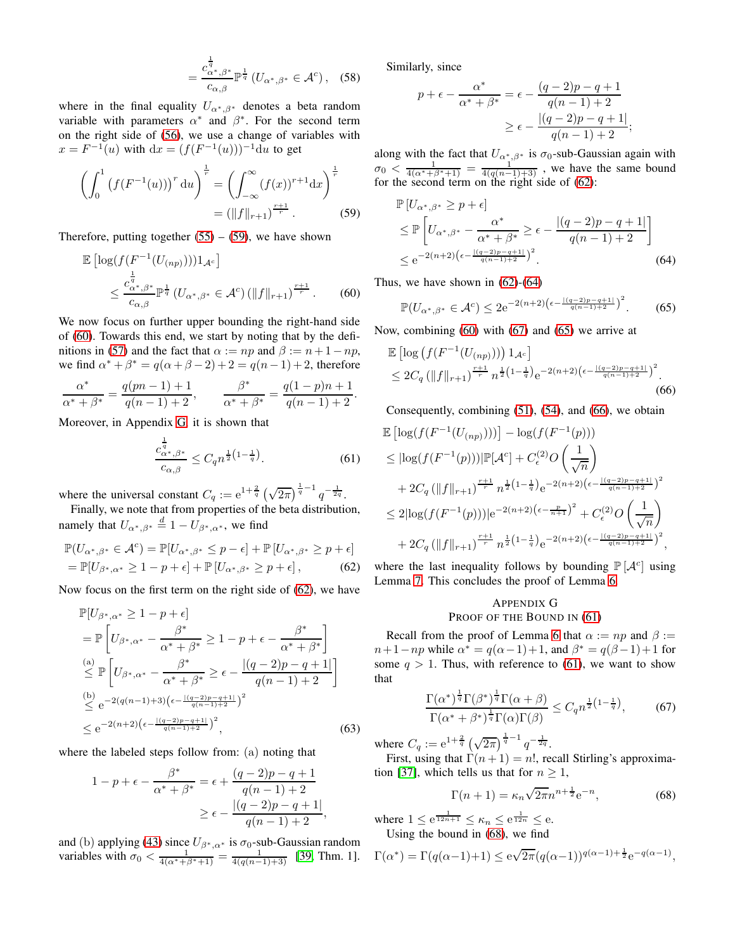$$
=\frac{c_{\alpha^*,\beta^*}^{\frac{1}{q}}}{c_{\alpha,\beta}}\mathbb{P}^{\frac{1}{q}}\left(U_{\alpha^*,\beta^*}\in\mathcal{A}^c\right),\quad(58)
$$

where in the final equality  $U_{\alpha^*,\beta^*}$  denotes a beta random variable with parameters  $\alpha^*$  and  $\beta^*$ . For the second term on the right side of [\(56\)](#page-7-7), we use a change of variables with  $x = F^{-1}(u)$  with  $dx = (f(F^{-1}(u)))^{-1}du$  to get

$$
\left(\int_0^1 \left(f(F^{-1}(u))\right)^r du\right)^{\frac{1}{r}} = \left(\int_{-\infty}^\infty (f(x))^{r+1} dx\right)^{\frac{1}{r}}
$$

$$
= (\|f\|_{r+1})^{\frac{r+1}{r}}.
$$
 (59)

Therefore, putting together  $(55) - (59)$  $(55) - (59)$ , we have shown

$$
\mathbb{E}\left[\log(f(F^{-1}(U_{(np)})))1_{\mathcal{A}^c}\right]
$$
  
 
$$
\leq \frac{c_{\alpha^*,\beta^*}^{\frac{1}{q}}}{c_{\alpha,\beta}} \mathbb{P}^{\frac{1}{q}}\left(U_{\alpha^*,\beta^*} \in \mathcal{A}^c\right) \left(\|f\|_{r+1}\right)^{\frac{r+1}{r}}.
$$
 (60)

We now focus on further upper bounding the right-hand side of [\(60\)](#page-8-1). Towards this end, we start by noting that by the defi-nitions in [\(57\)](#page-7-9) and the fact that  $\alpha := np$  and  $\beta := n + 1 - np$ , we find  $\alpha^* + \beta^* = q(\alpha + \beta - 2) + 2 = q(n - 1) + 2$ , therefore

$$
\frac{\alpha^*}{\alpha^* + \beta^*} = \frac{q(pn-1)+1}{q(n-1)+2}, \qquad \frac{\beta^*}{\alpha^* + \beta^*} = \frac{q(1-p)n+1}{q(n-1)+2}.
$$

Moreover, in Appendix [G,](#page-8-2) it is shown that

<span id="page-8-8"></span>
$$
\frac{c_{\alpha^*,\beta^*}^{\frac{1}{q}}}{c_{\alpha,\beta}} \le C_q n^{\frac{1}{2}\left(1-\frac{1}{q}\right)}.
$$
\n(61)

where the universal constant  $C_q := e^{1+\frac{2}{q}} \left(\sqrt{2\pi}\right)^{\frac{1}{q}-1} q^{-\frac{1}{2q}}$ .

Finally, we note that from properties of the beta distribution, namely that  $U_{\alpha^*,\beta^*} \stackrel{d}{=} 1 - U_{\beta^*,\alpha^*}$ , we find

$$
\mathbb{P}(U_{\alpha^*,\beta^*} \in \mathcal{A}^c) = \mathbb{P}[U_{\alpha^*,\beta^*} \leq p - \epsilon] + \mathbb{P}[U_{\alpha^*,\beta^*} \geq p + \epsilon]
$$
  
=  $\mathbb{P}[U_{\beta^*,\alpha^*} \geq 1 - p + \epsilon] + \mathbb{P}[U_{\alpha^*,\beta^*} \geq p + \epsilon],$  (62)

Now focus on the first term on the right side of [\(62\)](#page-8-3), we have

$$
\mathbb{P}[U_{\beta^*,\alpha^*} \ge 1 - p + \epsilon] \n= \mathbb{P}\left[U_{\beta^*,\alpha^*} - \frac{\beta^*}{\alpha^* + \beta^*} \ge 1 - p + \epsilon - \frac{\beta^*}{\alpha^* + \beta^*}\right] \n\stackrel{\text{(a)}}{\le} \mathbb{P}\left[U_{\beta^*,\alpha^*} - \frac{\beta^*}{\alpha^* + \beta^*} \ge \epsilon - \frac{|(q-2)p - q + 1|}{q(n-1) + 2}\right] \n\stackrel{\text{(b)}}{\le} e^{-2(q(n-1)+3)\left(\epsilon - \frac{|(q-2)p - q + 1|}{q(n-1) + 2}\right)^2} \n\le e^{-2(n+2)\left(\epsilon - \frac{|(q-2)p - q + 1|}{q(n-1) + 2}\right)^2},
$$
\n(63)

where the labeled steps follow from: (a) noting that

$$
1 - p + \epsilon - \frac{\beta^*}{\alpha^* + \beta^*} = \epsilon + \frac{(q-2)p - q + 1}{q(n-1) + 2}
$$
  
 
$$
\geq \epsilon - \frac{|(q-2)p - q + 1|}{q(n-1) + 2},
$$

and (b) applying [\(43\)](#page-6-3) since  $U_{\beta^*,\alpha^*}$  is  $\sigma_0$ -sub-Gaussian random variables with  $\sigma_0 < \frac{1}{4(\alpha^* + \beta^* + 1)} = \frac{1}{4(q(n-1)+3)}$  [\[39,](#page-10-38) Thm. 1]. Similarly, since

$$
p + \epsilon - \frac{\alpha^*}{\alpha^* + \beta^*} = \epsilon - \frac{(q-2)p - q + 1}{q(n-1) + 2}
$$

$$
\geq \epsilon - \frac{|(q-2)p - q + 1|}{q(n-1) + 2};
$$

along with the fact that  $U_{\alpha^*,\beta^*}$  is  $\sigma_0$ -sub-Gaussian again with  $\sigma_0 < \frac{1}{4(\alpha^* + \beta^* + 1)} = \frac{1}{4(q(n-1)+3)}$ , we have the same bound for the second term on the right side of [\(62\)](#page-8-3):

<span id="page-8-0"></span>
$$
\mathbb{P}\left[U_{\alpha^*,\beta^*} \ge p + \epsilon\right] \le \mathbb{P}\left[U_{\alpha^*,\beta^*} - \frac{\alpha^*}{\alpha^* + \beta^*} \ge \epsilon - \frac{|(q-2)p - q + 1|}{q(n-1) + 2}\right] \le e^{-2(n+2)\left(\epsilon - \frac{|(q-2)p - q + 1|}{q(n-1) + 2}\right)^2}.
$$
\n(64)

<span id="page-8-1"></span>Thus, we have shown in  $(62)-(64)$  $(62)-(64)$  $(62)-(64)$ 

<span id="page-8-7"></span><span id="page-8-6"></span><span id="page-8-4"></span>
$$
\mathbb{P}(U_{\alpha^*,\beta^*} \in \mathcal{A}^c) \le 2e^{-2(n+2)\left(\epsilon - \frac{|\left(q-2\right)p - q + 1|}{q(n-1)+2}\right)^2}.
$$
 (65)

Now, combining [\(60\)](#page-8-1) with [\(67\)](#page-8-5) and [\(65\)](#page-8-6) we arrive at

$$
\mathbb{E}\left[\log\left(f(F^{-1}(U_{(np)}))\right)1_{\mathcal{A}^c}\right] \leq 2C_q \left(\|f\|_{r+1}\right)^{\frac{r+1}{r}} n^{\frac{1}{2}\left(1-\frac{1}{q}\right)} e^{-2(n+2)\left(\epsilon - \frac{|\left(q-2\right)p - q + 1|}{q(n-1)+2}\right)^2}.
$$
\n(66)

Consequently, combining [\(51\)](#page-7-4), [\(54\)](#page-7-10), and [\(66\)](#page-8-7), we obtain

$$
\mathbb{E}\left[\log(f(F^{-1}(U_{(np)})))\right] - \log(f(F^{-1}(p)))
$$
\n
$$
\leq |\log(f(F^{-1}(p)))|\mathbb{P}[\mathcal{A}^c] + C_{\epsilon}^{(2)}O\left(\frac{1}{\sqrt{n}}\right)
$$
\n
$$
+ 2C_q \left(||f||_{r+1}\right)^{\frac{r+1}{r}} n^{\frac{1}{2}\left(1 - \frac{1}{q}\right)} e^{-2(n+2)\left(\epsilon - \frac{|(q-2)p - q + 1|}{q(n-1)+2}\right)^2}
$$
\n
$$
\leq 2|\log(f(F^{-1}(p)))|e^{-2(n+2)\left(\epsilon - \frac{p}{n+1}\right)^2} + C_{\epsilon}^{(2)}O\left(\frac{1}{\sqrt{n}}\right)
$$
\n
$$
+ 2C_q \left(||f||_{r+1}\right)^{\frac{r+1}{r}} n^{\frac{1}{2}\left(1 - \frac{1}{q}\right)} e^{-2(n+2)\left(\epsilon - \frac{|(q-2)p - q + 1|}{q(n-1)+2}\right)^2},
$$

<span id="page-8-3"></span>where the last inequality follows by bounding  $\mathbb{P}[\mathcal{A}^c]$  using Lemma [7.](#page-4-8) This concludes the proof of Lemma [6.](#page-3-2)

# <span id="page-8-2"></span>APPENDIX G PROOF OF THE BOUND IN [\(61\)](#page-8-8)

Recall from the proof of Lemma [6](#page-3-2) that  $\alpha := np$  and  $\beta :=$  $n+1-np$  while  $\alpha^* = q(\alpha-1)+1$ , and  $\beta^* = q(\beta-1)+1$  for some  $q > 1$ . Thus, with reference to [\(61\)](#page-8-8), we want to show that

$$
\frac{\Gamma(\alpha^*)^{\frac{1}{q}}\Gamma(\beta^*)^{\frac{1}{q}}\Gamma(\alpha+\beta)}{\Gamma(\alpha^*+\beta^*)^{\frac{1}{q}}\Gamma(\alpha)\Gamma(\beta)} \le C_q n^{\frac{1}{2}\left(1-\frac{1}{q}\right)},\tag{67}
$$

where  $C_q := e^{1 + \frac{2}{q}} \left(\sqrt{2\pi}\right)^{\frac{1}{q}-1} q^{-\frac{1}{2q}}$ . First, using that  $\Gamma(n+1) = n!$ , recall Stirling's approxima-

tion [\[37\]](#page-10-36), which tells us that for  $n \geq 1$ ,

<span id="page-8-9"></span><span id="page-8-5"></span>
$$
\Gamma(n+1) = \kappa_n \sqrt{2\pi} n^{n + \frac{1}{2}} e^{-n},
$$
\n(68)

where  $1 \leq e^{\frac{1}{12n+1}} \leq \kappa_n \leq e^{\frac{1}{12n}} \leq e$ . Using the bound in [\(68\)](#page-8-9), we find

$$
\Gamma(\alpha^*)=\Gamma(q(\alpha-1)+1)\leq \mathrm{e}^{\sqrt{2\pi}(q(\alpha-1))^{q(\alpha-1)+\frac{1}{2}}}\mathrm{e}^{-q(\alpha-1)},
$$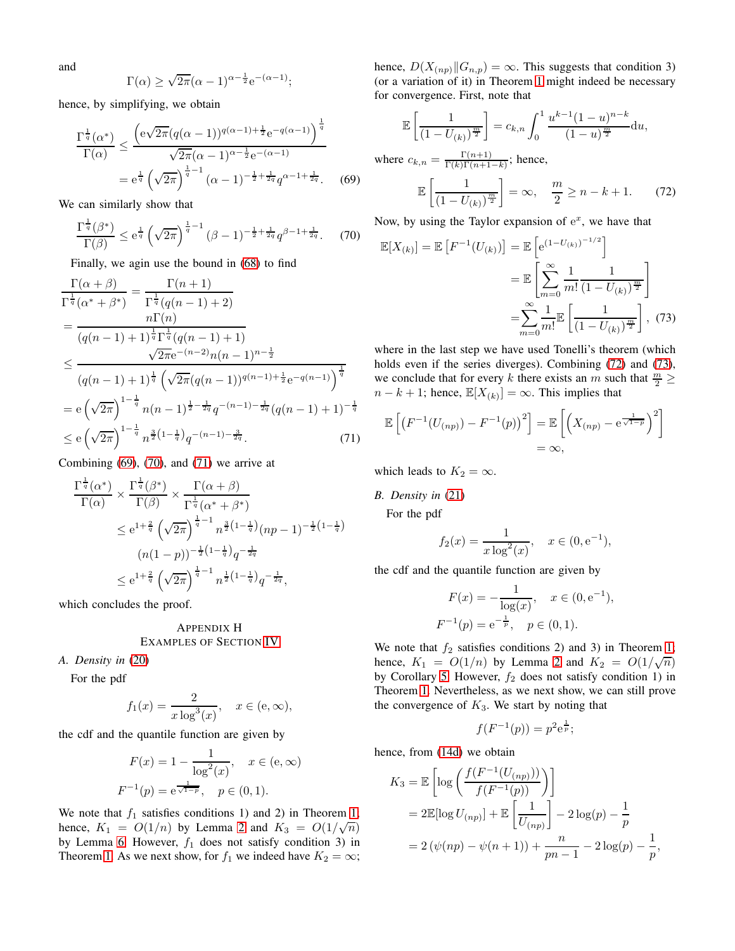and

$$
\Gamma(\alpha) \ge \sqrt{2\pi}(\alpha - 1)^{\alpha - \frac{1}{2}} e^{-(\alpha - 1)};
$$

hence, by simplifying, we obtain

$$
\frac{\Gamma^{\frac{1}{q}}(\alpha^*)}{\Gamma(\alpha)} \le \frac{\left(e\sqrt{2\pi}(q(\alpha-1))^{q(\alpha-1)+\frac{1}{2}}e^{-q(\alpha-1)}\right)^{\frac{1}{q}}}{\sqrt{2\pi}(\alpha-1)^{\alpha-\frac{1}{2}}e^{-(\alpha-1)}}
$$

$$
= e^{\frac{1}{q}} \left(\sqrt{2\pi}\right)^{\frac{1}{q}-1} (\alpha-1)^{-\frac{1}{2}+\frac{1}{2q}} q^{\alpha-1+\frac{1}{2q}}.
$$
(69)

We can similarly show that

$$
\frac{\Gamma^{\frac{1}{q}}(\beta^*)}{\Gamma(\beta)} \le e^{\frac{1}{q}} \left(\sqrt{2\pi}\right)^{\frac{1}{q}-1} (\beta - 1)^{-\frac{1}{2} + \frac{1}{2q}} q^{\beta - 1 + \frac{1}{2q}}.
$$
 (70)

Finally, we agin use the bound in [\(68\)](#page-8-9) to find

$$
\frac{\Gamma(\alpha+\beta)}{\Gamma^{\frac{1}{q}}(\alpha^*+\beta^*)} = \frac{\Gamma(n+1)}{\Gamma^{\frac{1}{q}}(q(n-1)+2)}
$$
\n
$$
= \frac{n\Gamma(n)}{(q(n-1)+1)^{\frac{1}{q}}\Gamma^{\frac{1}{q}}(q(n-1)+1)}
$$
\n
$$
\leq \frac{\sqrt{2\pi}e^{-(n-2)}n(n-1)^{n-\frac{1}{2}}}{(q(n-1)+1)^{\frac{1}{q}}\left(\sqrt{2\pi}(q(n-1))^{q(n-1)+\frac{1}{2}}e^{-q(n-1)}\right)^{\frac{1}{q}}}
$$
\n
$$
= e\left(\sqrt{2\pi}\right)^{1-\frac{1}{q}}n(n-1)^{\frac{1}{2}-\frac{1}{2q}}q^{-(n-1)-\frac{1}{2q}}(q(n-1)+1)^{-\frac{1}{q}}
$$
\n
$$
\leq e\left(\sqrt{2\pi}\right)^{1-\frac{1}{q}}n^{\frac{3}{2}(1-\frac{1}{q})}q^{-(n-1)-\frac{3}{2q}}.
$$
\n(71)

Combining  $(69)$ ,  $(70)$ , and  $(71)$  we arrive at

$$
\frac{\Gamma^{\frac{1}{q}}(\alpha^{*})}{\Gamma(\alpha)} \times \frac{\Gamma^{\frac{1}{q}}(\beta^{*})}{\Gamma(\beta)} \times \frac{\Gamma(\alpha+\beta)}{\Gamma^{\frac{1}{q}}(\alpha^{*}+\beta^{*})}
$$
\n
$$
\leq e^{1+\frac{2}{q}} \left(\sqrt{2\pi}\right)^{\frac{1}{q}-1} n^{\frac{3}{2}\left(1-\frac{1}{q}\right)} (np-1)^{-\frac{1}{2}\left(1-\frac{1}{q}\right)}
$$
\n
$$
(n(1-p))^{-\frac{1}{2}\left(1-\frac{1}{q}\right)} q^{-\frac{1}{2q}}
$$
\n
$$
\leq e^{1+\frac{2}{q}} \left(\sqrt{2\pi}\right)^{\frac{1}{q}-1} n^{\frac{1}{2}\left(1-\frac{1}{q}\right)} q^{-\frac{1}{2q}},
$$

which concludes the proof.

# <span id="page-9-0"></span>APPENDIX H EXAMPLES OF SECTION [IV](#page-3-0)

*A. Density in* [\(20\)](#page-3-4)

For the pdf

$$
f_1(x) = \frac{2}{x \log^3(x)}, \quad x \in (e, \infty),
$$

the cdf and the quantile function are given by

$$
F(x) = 1 - \frac{1}{\log^{2}(x)}, \quad x \in (e, \infty)
$$

$$
F^{-1}(p) = e^{\frac{1}{\sqrt{1-p}}}, \quad p \in (0, 1).
$$

We note that  $f_1$  satisfies conditions 1) and 2) in Theorem [1;](#page-1-1) hence,  $K_1 = O(1/n)$  by Lemma [2](#page-2-2) and  $K_3 = O(1/\sqrt{n})$ by Lemma [6.](#page-3-2) However,  $f_1$  does not satisfy condition 3) in Theorem [1.](#page-1-1) As we next show, for  $f_1$  we indeed have  $K_2 = \infty$ ; hence,  $D(X_{(np)}||G_{n,p}) = \infty$ . This suggests that condition 3) (or a variation of it) in Theorem [1](#page-1-1) might indeed be necessary for convergence. First, note that

$$
\mathbb{E}\left[\frac{1}{(1-U_{(k)})^{\frac{m}{2}}}\right] = c_{k,n} \int_0^1 \frac{u^{k-1}(1-u)^{n-k}}{(1-u)^{\frac{m}{2}}} \mathrm{d}u,
$$
\nwhere  $c_{k,n} = \frac{\Gamma(n+1)}{\Gamma(k)\Gamma(n+1-k)}$ ; hence,  
\n
$$
\mathbb{E}\left[\frac{1}{(1-U_{(k)})^{\frac{m}{2}}}\right] = \infty, \quad \frac{m}{2} \ge n-k+1.
$$
 (72)

<span id="page-9-4"></span><span id="page-9-2"></span><span id="page-9-1"></span>Now, by using the Taylor expansion of  $e^x$ , we have that

$$
\mathbb{E}[X_{(k)}] = \mathbb{E}\left[F^{-1}(U_{(k)})\right] = \mathbb{E}\left[e^{(1-U_{(k)})^{-1/2}}\right]
$$

$$
= \mathbb{E}\left[\sum_{m=0}^{\infty} \frac{1}{m!} \frac{1}{(1-U_{(k)})^{\frac{m}{2}}}\right]
$$

$$
= \sum_{m=0}^{\infty} \frac{1}{m!} \mathbb{E}\left[\frac{1}{(1-U_{(k)})^{\frac{m}{2}}}\right], \tag{73}
$$

<span id="page-9-5"></span>where in the last step we have used Tonelli's theorem (which holds even if the series diverges). Combining [\(72\)](#page-9-4) and [\(73\)](#page-9-5), we conclude that for every k there exists an m such that  $\frac{m}{2} \geq$  $n - k + 1$ ; hence,  $\mathbb{E}[X_{(k)}] = \infty$ . This implies that

<span id="page-9-3"></span>
$$
\mathbb{E}\left[\left(F^{-1}(U_{(np)}) - F^{-1}(p)\right)^2\right] = \mathbb{E}\left[\left(X_{(np)} - e^{\frac{1}{\sqrt{1-p}}}\right)^2\right]
$$
  
=  $\infty$ ,

which leads to  $K_2 = \infty$ .

*B. Density in* [\(21\)](#page-3-5)

For the pdf

$$
f_2(x) = \frac{1}{x \log^2(x)}, \quad x \in (0, e^{-1}),
$$

the cdf and the quantile function are given by

$$
F(x) = -\frac{1}{\log(x)}, \quad x \in (0, e^{-1}),
$$
  

$$
F^{-1}(p) = e^{-\frac{1}{p}}, \quad p \in (0, 1).
$$

We note that  $f_2$  satisfies conditions 2) and 3) in Theorem [1;](#page-1-1) hence,  $K_1 = O(1/n)$  by Lemma [2](#page-2-2) and  $K_2 = O(1/\sqrt{n})$ by Corollary [5.](#page-3-1) However,  $f_2$  does not satisfy condition 1) in Theorem [1.](#page-1-1) Nevertheless, as we next show, we can still prove the convergence of  $K_3$ . We start by noting that

$$
f(F^{-1}(p)) = p^2 e^{\frac{1}{p}};
$$

hence, from [\(14d\)](#page-2-9) we obtain

$$
K_3 = \mathbb{E}\left[\log\left(\frac{f(F^{-1}(U_{(np)}))}{f(F^{-1}(p))}\right)\right]
$$
  
=  $2\mathbb{E}[\log U_{(np)}] + \mathbb{E}\left[\frac{1}{U_{(np)}}\right] - 2\log(p) - \frac{1}{p}$   
=  $2(\psi(np) - \psi(n+1)) + \frac{n}{pn-1} - 2\log(p) - \frac{1}{p},$